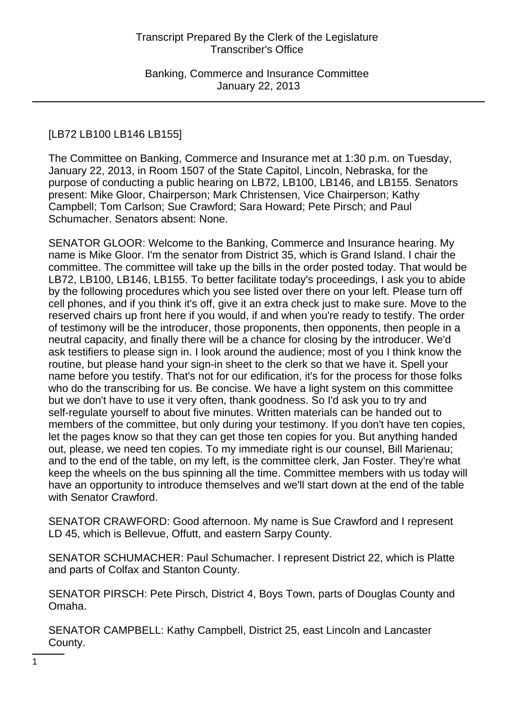# [LB72 LB100 LB146 LB155]

The Committee on Banking, Commerce and Insurance met at 1:30 p.m. on Tuesday, January 22, 2013, in Room 1507 of the State Capitol, Lincoln, Nebraska, for the purpose of conducting a public hearing on LB72, LB100, LB146, and LB155. Senators present: Mike Gloor, Chairperson; Mark Christensen, Vice Chairperson; Kathy Campbell; Tom Carlson; Sue Crawford; Sara Howard; Pete Pirsch; and Paul Schumacher. Senators absent: None.

SENATOR GLOOR: Welcome to the Banking, Commerce and Insurance hearing. My name is Mike Gloor. I'm the senator from District 35, which is Grand Island. I chair the committee. The committee will take up the bills in the order posted today. That would be LB72, LB100, LB146, LB155. To better facilitate today's proceedings, I ask you to abide by the following procedures which you see listed over there on your left. Please turn off cell phones, and if you think it's off, give it an extra check just to make sure. Move to the reserved chairs up front here if you would, if and when you're ready to testify. The order of testimony will be the introducer, those proponents, then opponents, then people in a neutral capacity, and finally there will be a chance for closing by the introducer. We'd ask testifiers to please sign in. I look around the audience; most of you I think know the routine, but please hand your sign-in sheet to the clerk so that we have it. Spell your name before you testify. That's not for our edification, it's for the process for those folks who do the transcribing for us. Be concise. We have a light system on this committee but we don't have to use it very often, thank goodness. So I'd ask you to try and self-regulate yourself to about five minutes. Written materials can be handed out to members of the committee, but only during your testimony. If you don't have ten copies, let the pages know so that they can get those ten copies for you. But anything handed out, please, we need ten copies. To my immediate right is our counsel, Bill Marienau; and to the end of the table, on my left, is the committee clerk, Jan Foster. They're what keep the wheels on the bus spinning all the time. Committee members with us today will have an opportunity to introduce themselves and we'll start down at the end of the table with Senator Crawford.

SENATOR CRAWFORD: Good afternoon. My name is Sue Crawford and I represent LD 45, which is Bellevue, Offutt, and eastern Sarpy County.

SENATOR SCHUMACHER: Paul Schumacher. I represent District 22, which is Platte and parts of Colfax and Stanton County.

SENATOR PIRSCH: Pete Pirsch, District 4, Boys Town, parts of Douglas County and Omaha.

SENATOR CAMPBELL: Kathy Campbell, District 25, east Lincoln and Lancaster County.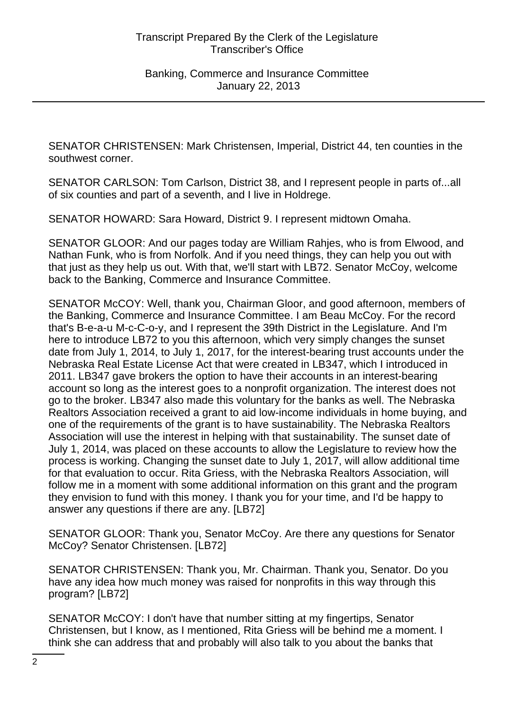SENATOR CHRISTENSEN: Mark Christensen, Imperial, District 44, ten counties in the southwest corner.

SENATOR CARLSON: Tom Carlson, District 38, and I represent people in parts of...all of six counties and part of a seventh, and I live in Holdrege.

SENATOR HOWARD: Sara Howard, District 9. I represent midtown Omaha.

SENATOR GLOOR: And our pages today are William Rahjes, who is from Elwood, and Nathan Funk, who is from Norfolk. And if you need things, they can help you out with that just as they help us out. With that, we'll start with LB72. Senator McCoy, welcome back to the Banking, Commerce and Insurance Committee.

SENATOR McCOY: Well, thank you, Chairman Gloor, and good afternoon, members of the Banking, Commerce and Insurance Committee. I am Beau McCoy. For the record that's B-e-a-u M-c-C-o-y, and I represent the 39th District in the Legislature. And I'm here to introduce LB72 to you this afternoon, which very simply changes the sunset date from July 1, 2014, to July 1, 2017, for the interest-bearing trust accounts under the Nebraska Real Estate License Act that were created in LB347, which I introduced in 2011. LB347 gave brokers the option to have their accounts in an interest-bearing account so long as the interest goes to a nonprofit organization. The interest does not go to the broker. LB347 also made this voluntary for the banks as well. The Nebraska Realtors Association received a grant to aid low-income individuals in home buying, and one of the requirements of the grant is to have sustainability. The Nebraska Realtors Association will use the interest in helping with that sustainability. The sunset date of July 1, 2014, was placed on these accounts to allow the Legislature to review how the process is working. Changing the sunset date to July 1, 2017, will allow additional time for that evaluation to occur. Rita Griess, with the Nebraska Realtors Association, will follow me in a moment with some additional information on this grant and the program they envision to fund with this money. I thank you for your time, and I'd be happy to answer any questions if there are any. [LB72]

SENATOR GLOOR: Thank you, Senator McCoy. Are there any questions for Senator McCoy? Senator Christensen. [LB72]

SENATOR CHRISTENSEN: Thank you, Mr. Chairman. Thank you, Senator. Do you have any idea how much money was raised for nonprofits in this way through this program? [LB72]

SENATOR McCOY: I don't have that number sitting at my fingertips, Senator Christensen, but I know, as I mentioned, Rita Griess will be behind me a moment. I think she can address that and probably will also talk to you about the banks that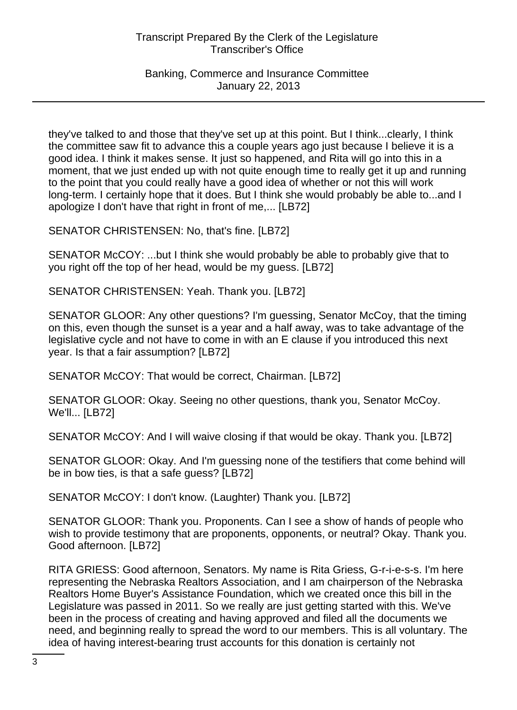Banking, Commerce and Insurance Committee January 22, 2013

they've talked to and those that they've set up at this point. But I think...clearly, I think the committee saw fit to advance this a couple years ago just because I believe it is a good idea. I think it makes sense. It just so happened, and Rita will go into this in a moment, that we just ended up with not quite enough time to really get it up and running to the point that you could really have a good idea of whether or not this will work long-term. I certainly hope that it does. But I think she would probably be able to...and I apologize I don't have that right in front of me,... [LB72]

SENATOR CHRISTENSEN: No, that's fine. [LB72]

SENATOR McCOY: ...but I think she would probably be able to probably give that to you right off the top of her head, would be my guess. [LB72]

SENATOR CHRISTENSEN: Yeah. Thank you. [LB72]

SENATOR GLOOR: Any other questions? I'm guessing, Senator McCoy, that the timing on this, even though the sunset is a year and a half away, was to take advantage of the legislative cycle and not have to come in with an E clause if you introduced this next year. Is that a fair assumption? [LB72]

SENATOR McCOY: That would be correct, Chairman. [LB72]

SENATOR GLOOR: Okay. Seeing no other questions, thank you, Senator McCoy. We'll... [LB72]

SENATOR McCOY: And I will waive closing if that would be okay. Thank you. [LB72]

SENATOR GLOOR: Okay. And I'm guessing none of the testifiers that come behind will be in bow ties, is that a safe guess? [LB72]

SENATOR McCOY: I don't know. (Laughter) Thank you. [LB72]

SENATOR GLOOR: Thank you. Proponents. Can I see a show of hands of people who wish to provide testimony that are proponents, opponents, or neutral? Okay. Thank you. Good afternoon. [LB72]

RITA GRIESS: Good afternoon, Senators. My name is Rita Griess, G-r-i-e-s-s. I'm here representing the Nebraska Realtors Association, and I am chairperson of the Nebraska Realtors Home Buyer's Assistance Foundation, which we created once this bill in the Legislature was passed in 2011. So we really are just getting started with this. We've been in the process of creating and having approved and filed all the documents we need, and beginning really to spread the word to our members. This is all voluntary. The idea of having interest-bearing trust accounts for this donation is certainly not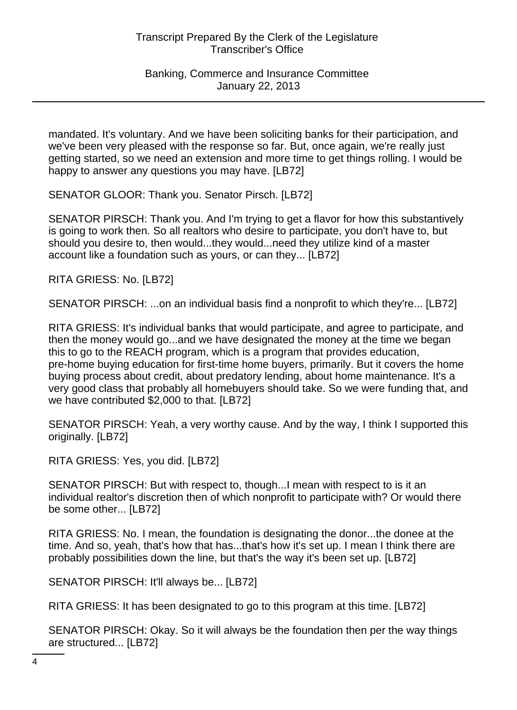mandated. It's voluntary. And we have been soliciting banks for their participation, and we've been very pleased with the response so far. But, once again, we're really just getting started, so we need an extension and more time to get things rolling. I would be happy to answer any questions you may have. [LB72]

SENATOR GLOOR: Thank you. Senator Pirsch. [LB72]

SENATOR PIRSCH: Thank you. And I'm trying to get a flavor for how this substantively is going to work then. So all realtors who desire to participate, you don't have to, but should you desire to, then would...they would...need they utilize kind of a master account like a foundation such as yours, or can they... [LB72]

RITA GRIESS: No. [LB72]

SENATOR PIRSCH: ...on an individual basis find a nonprofit to which they're... [LB72]

RITA GRIESS: It's individual banks that would participate, and agree to participate, and then the money would go...and we have designated the money at the time we began this to go to the REACH program, which is a program that provides education, pre-home buying education for first-time home buyers, primarily. But it covers the home buying process about credit, about predatory lending, about home maintenance. It's a very good class that probably all homebuyers should take. So we were funding that, and we have contributed \$2,000 to that. [LB72]

SENATOR PIRSCH: Yeah, a very worthy cause. And by the way, I think I supported this originally. [LB72]

RITA GRIESS: Yes, you did. [LB72]

SENATOR PIRSCH: But with respect to, though...I mean with respect to is it an individual realtor's discretion then of which nonprofit to participate with? Or would there be some other... [LB72]

RITA GRIESS: No. I mean, the foundation is designating the donor...the donee at the time. And so, yeah, that's how that has...that's how it's set up. I mean I think there are probably possibilities down the line, but that's the way it's been set up. [LB72]

SENATOR PIRSCH: It'll always be... [LB72]

RITA GRIESS: It has been designated to go to this program at this time. [LB72]

SENATOR PIRSCH: Okay. So it will always be the foundation then per the way things are structured... [LB72]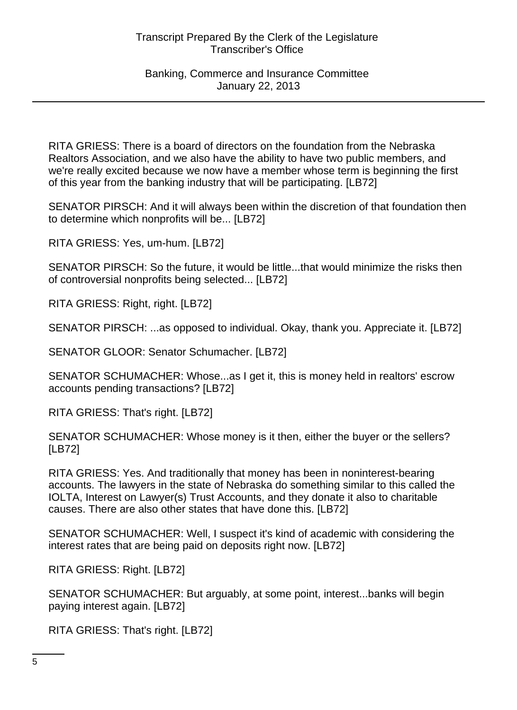RITA GRIESS: There is a board of directors on the foundation from the Nebraska Realtors Association, and we also have the ability to have two public members, and we're really excited because we now have a member whose term is beginning the first of this year from the banking industry that will be participating. [LB72]

SENATOR PIRSCH: And it will always been within the discretion of that foundation then to determine which nonprofits will be... [LB72]

RITA GRIESS: Yes, um-hum. [LB72]

SENATOR PIRSCH: So the future, it would be little...that would minimize the risks then of controversial nonprofits being selected... [LB72]

RITA GRIESS: Right, right. [LB72]

SENATOR PIRSCH: ...as opposed to individual. Okay, thank you. Appreciate it. [LB72]

SENATOR GLOOR: Senator Schumacher. [LB72]

SENATOR SCHUMACHER: Whose...as I get it, this is money held in realtors' escrow accounts pending transactions? [LB72]

RITA GRIESS: That's right. [LB72]

SENATOR SCHUMACHER: Whose money is it then, either the buyer or the sellers? [LB72]

RITA GRIESS: Yes. And traditionally that money has been in noninterest-bearing accounts. The lawyers in the state of Nebraska do something similar to this called the IOLTA, Interest on Lawyer(s) Trust Accounts, and they donate it also to charitable causes. There are also other states that have done this. [LB72]

SENATOR SCHUMACHER: Well, I suspect it's kind of academic with considering the interest rates that are being paid on deposits right now. [LB72]

RITA GRIESS: Right. [LB72]

SENATOR SCHUMACHER: But arguably, at some point, interest...banks will begin paying interest again. [LB72]

RITA GRIESS: That's right. [LB72]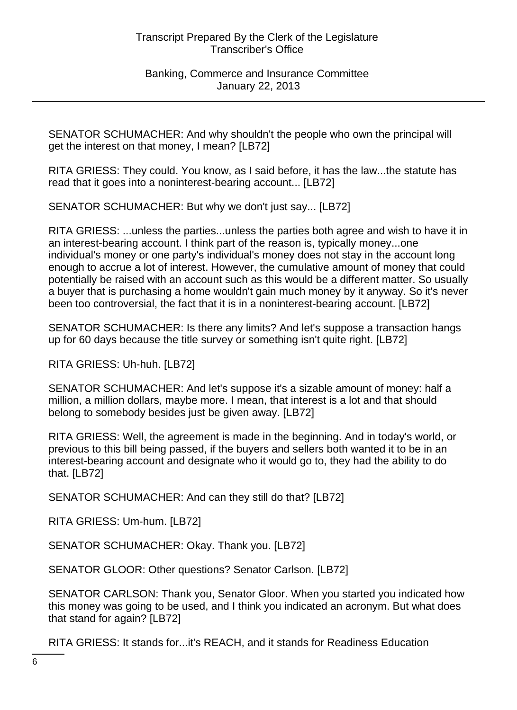SENATOR SCHUMACHER: And why shouldn't the people who own the principal will get the interest on that money, I mean? [LB72]

RITA GRIESS: They could. You know, as I said before, it has the law...the statute has read that it goes into a noninterest-bearing account... [LB72]

SENATOR SCHUMACHER: But why we don't just say... [LB72]

RITA GRIESS: ...unless the parties...unless the parties both agree and wish to have it in an interest-bearing account. I think part of the reason is, typically money...one individual's money or one party's individual's money does not stay in the account long enough to accrue a lot of interest. However, the cumulative amount of money that could potentially be raised with an account such as this would be a different matter. So usually a buyer that is purchasing a home wouldn't gain much money by it anyway. So it's never been too controversial, the fact that it is in a noninterest-bearing account. [LB72]

SENATOR SCHUMACHER: Is there any limits? And let's suppose a transaction hangs up for 60 days because the title survey or something isn't quite right. [LB72]

RITA GRIESS: Uh-huh. [LB72]

SENATOR SCHUMACHER: And let's suppose it's a sizable amount of money: half a million, a million dollars, maybe more. I mean, that interest is a lot and that should belong to somebody besides just be given away. [LB72]

RITA GRIESS: Well, the agreement is made in the beginning. And in today's world, or previous to this bill being passed, if the buyers and sellers both wanted it to be in an interest-bearing account and designate who it would go to, they had the ability to do that. [LB72]

SENATOR SCHUMACHER: And can they still do that? [LB72]

RITA GRIESS: Um-hum. [LB72]

SENATOR SCHUMACHER: Okay. Thank you. [LB72]

SENATOR GLOOR: Other questions? Senator Carlson. [LB72]

SENATOR CARLSON: Thank you, Senator Gloor. When you started you indicated how this money was going to be used, and I think you indicated an acronym. But what does that stand for again? [LB72]

RITA GRIESS: It stands for...it's REACH, and it stands for Readiness Education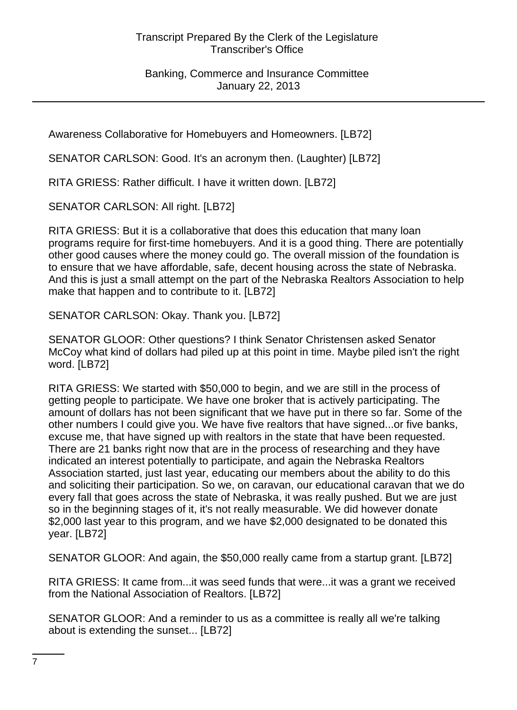Banking, Commerce and Insurance Committee January 22, 2013

Awareness Collaborative for Homebuyers and Homeowners. [LB72]

SENATOR CARLSON: Good. It's an acronym then. (Laughter) [LB72]

RITA GRIESS: Rather difficult. I have it written down. [LB72]

SENATOR CARLSON: All right. [LB72]

RITA GRIESS: But it is a collaborative that does this education that many loan programs require for first-time homebuyers. And it is a good thing. There are potentially other good causes where the money could go. The overall mission of the foundation is to ensure that we have affordable, safe, decent housing across the state of Nebraska. And this is just a small attempt on the part of the Nebraska Realtors Association to help make that happen and to contribute to it. [LB72]

SENATOR CARLSON: Okay. Thank you. [LB72]

SENATOR GLOOR: Other questions? I think Senator Christensen asked Senator McCoy what kind of dollars had piled up at this point in time. Maybe piled isn't the right word. [LB72]

RITA GRIESS: We started with \$50,000 to begin, and we are still in the process of getting people to participate. We have one broker that is actively participating. The amount of dollars has not been significant that we have put in there so far. Some of the other numbers I could give you. We have five realtors that have signed...or five banks, excuse me, that have signed up with realtors in the state that have been requested. There are 21 banks right now that are in the process of researching and they have indicated an interest potentially to participate, and again the Nebraska Realtors Association started, just last year, educating our members about the ability to do this and soliciting their participation. So we, on caravan, our educational caravan that we do every fall that goes across the state of Nebraska, it was really pushed. But we are just so in the beginning stages of it, it's not really measurable. We did however donate \$2,000 last year to this program, and we have \$2,000 designated to be donated this year. [LB72]

SENATOR GLOOR: And again, the \$50,000 really came from a startup grant. [LB72]

RITA GRIESS: It came from...it was seed funds that were...it was a grant we received from the National Association of Realtors. [LB72]

SENATOR GLOOR: And a reminder to us as a committee is really all we're talking about is extending the sunset... [LB72]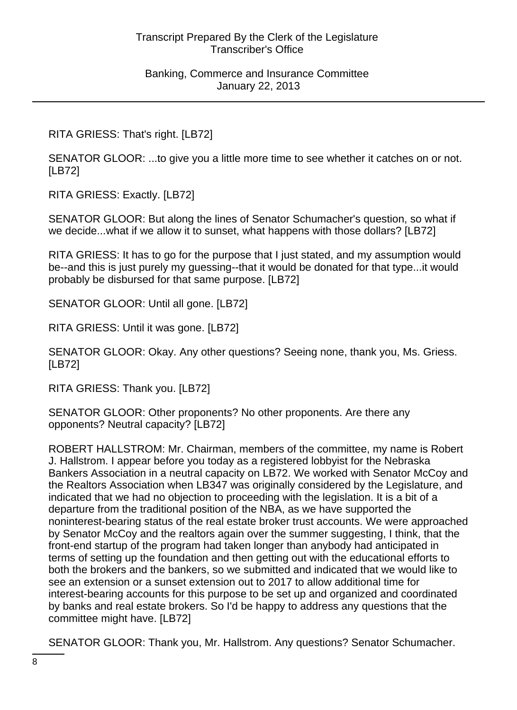RITA GRIESS: That's right. [LB72]

SENATOR GLOOR: ...to give you a little more time to see whether it catches on or not. [LB72]

RITA GRIESS: Exactly. [LB72]

SENATOR GLOOR: But along the lines of Senator Schumacher's question, so what if we decide...what if we allow it to sunset, what happens with those dollars? [LB72]

RITA GRIESS: It has to go for the purpose that I just stated, and my assumption would be--and this is just purely my guessing--that it would be donated for that type...it would probably be disbursed for that same purpose. [LB72]

SENATOR GLOOR: Until all gone. [LB72]

RITA GRIESS: Until it was gone. [LB72]

SENATOR GLOOR: Okay. Any other questions? Seeing none, thank you, Ms. Griess. [LB72]

RITA GRIESS: Thank you. [LB72]

SENATOR GLOOR: Other proponents? No other proponents. Are there any opponents? Neutral capacity? [LB72]

ROBERT HALLSTROM: Mr. Chairman, members of the committee, my name is Robert J. Hallstrom. I appear before you today as a registered lobbyist for the Nebraska Bankers Association in a neutral capacity on LB72. We worked with Senator McCoy and the Realtors Association when LB347 was originally considered by the Legislature, and indicated that we had no objection to proceeding with the legislation. It is a bit of a departure from the traditional position of the NBA, as we have supported the noninterest-bearing status of the real estate broker trust accounts. We were approached by Senator McCoy and the realtors again over the summer suggesting, I think, that the front-end startup of the program had taken longer than anybody had anticipated in terms of setting up the foundation and then getting out with the educational efforts to both the brokers and the bankers, so we submitted and indicated that we would like to see an extension or a sunset extension out to 2017 to allow additional time for interest-bearing accounts for this purpose to be set up and organized and coordinated by banks and real estate brokers. So I'd be happy to address any questions that the committee might have. [LB72]

SENATOR GLOOR: Thank you, Mr. Hallstrom. Any questions? Senator Schumacher.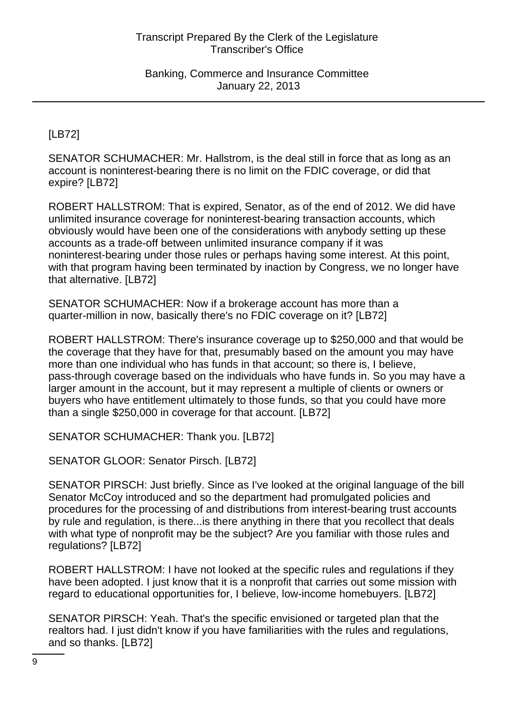[LB72]

SENATOR SCHUMACHER: Mr. Hallstrom, is the deal still in force that as long as an account is noninterest-bearing there is no limit on the FDIC coverage, or did that expire? [LB72]

ROBERT HALLSTROM: That is expired, Senator, as of the end of 2012. We did have unlimited insurance coverage for noninterest-bearing transaction accounts, which obviously would have been one of the considerations with anybody setting up these accounts as a trade-off between unlimited insurance company if it was noninterest-bearing under those rules or perhaps having some interest. At this point, with that program having been terminated by inaction by Congress, we no longer have that alternative. [LB72]

SENATOR SCHUMACHER: Now if a brokerage account has more than a quarter-million in now, basically there's no FDIC coverage on it? [LB72]

ROBERT HALLSTROM: There's insurance coverage up to \$250,000 and that would be the coverage that they have for that, presumably based on the amount you may have more than one individual who has funds in that account; so there is, I believe, pass-through coverage based on the individuals who have funds in. So you may have a larger amount in the account, but it may represent a multiple of clients or owners or buyers who have entitlement ultimately to those funds, so that you could have more than a single \$250,000 in coverage for that account. [LB72]

SENATOR SCHUMACHER: Thank you. [LB72]

SENATOR GLOOR: Senator Pirsch. [LB72]

SENATOR PIRSCH: Just briefly. Since as I've looked at the original language of the bill Senator McCoy introduced and so the department had promulgated policies and procedures for the processing of and distributions from interest-bearing trust accounts by rule and regulation, is there...is there anything in there that you recollect that deals with what type of nonprofit may be the subject? Are you familiar with those rules and regulations? [LB72]

ROBERT HALLSTROM: I have not looked at the specific rules and regulations if they have been adopted. I just know that it is a nonprofit that carries out some mission with regard to educational opportunities for, I believe, low-income homebuyers. [LB72]

SENATOR PIRSCH: Yeah. That's the specific envisioned or targeted plan that the realtors had. I just didn't know if you have familiarities with the rules and regulations, and so thanks. [LB72]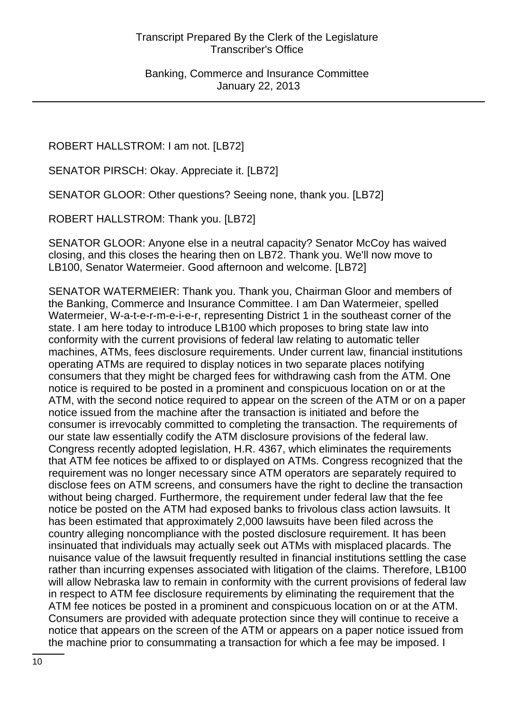ROBERT HALLSTROM: I am not. [LB72]

SENATOR PIRSCH: Okay. Appreciate it. [LB72]

SENATOR GLOOR: Other questions? Seeing none, thank you. [LB72]

ROBERT HALLSTROM: Thank you. [LB72]

SENATOR GLOOR: Anyone else in a neutral capacity? Senator McCoy has waived closing, and this closes the hearing then on LB72. Thank you. We'll now move to LB100, Senator Watermeier. Good afternoon and welcome. [LB72]

SENATOR WATERMEIER: Thank you. Thank you, Chairman Gloor and members of the Banking, Commerce and Insurance Committee. I am Dan Watermeier, spelled Watermeier, W-a-t-e-r-m-e-i-e-r, representing District 1 in the southeast corner of the state. I am here today to introduce LB100 which proposes to bring state law into conformity with the current provisions of federal law relating to automatic teller machines, ATMs, fees disclosure requirements. Under current law, financial institutions operating ATMs are required to display notices in two separate places notifying consumers that they might be charged fees for withdrawing cash from the ATM. One notice is required to be posted in a prominent and conspicuous location on or at the ATM, with the second notice required to appear on the screen of the ATM or on a paper notice issued from the machine after the transaction is initiated and before the consumer is irrevocably committed to completing the transaction. The requirements of our state law essentially codify the ATM disclosure provisions of the federal law. Congress recently adopted legislation, H.R. 4367, which eliminates the requirements that ATM fee notices be affixed to or displayed on ATMs. Congress recognized that the requirement was no longer necessary since ATM operators are separately required to disclose fees on ATM screens, and consumers have the right to decline the transaction without being charged. Furthermore, the requirement under federal law that the fee notice be posted on the ATM had exposed banks to frivolous class action lawsuits. It has been estimated that approximately 2,000 lawsuits have been filed across the country alleging noncompliance with the posted disclosure requirement. It has been insinuated that individuals may actually seek out ATMs with misplaced placards. The nuisance value of the lawsuit frequently resulted in financial institutions settling the case rather than incurring expenses associated with litigation of the claims. Therefore, LB100 will allow Nebraska law to remain in conformity with the current provisions of federal law in respect to ATM fee disclosure requirements by eliminating the requirement that the ATM fee notices be posted in a prominent and conspicuous location on or at the ATM. Consumers are provided with adequate protection since they will continue to receive a notice that appears on the screen of the ATM or appears on a paper notice issued from the machine prior to consummating a transaction for which a fee may be imposed. I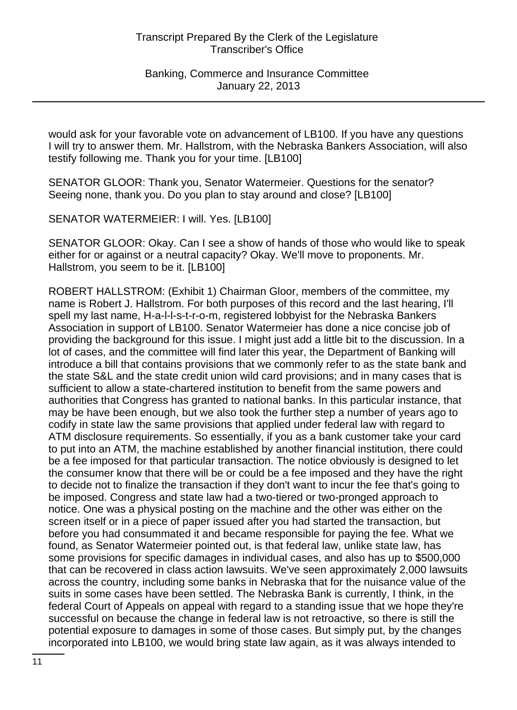would ask for your favorable vote on advancement of LB100. If you have any questions I will try to answer them. Mr. Hallstrom, with the Nebraska Bankers Association, will also testify following me. Thank you for your time. [LB100]

SENATOR GLOOR: Thank you, Senator Watermeier. Questions for the senator? Seeing none, thank you. Do you plan to stay around and close? [LB100]

SENATOR WATERMEIER: I will. Yes. [LB100]

SENATOR GLOOR: Okay. Can I see a show of hands of those who would like to speak either for or against or a neutral capacity? Okay. We'll move to proponents. Mr. Hallstrom, you seem to be it. [LB100]

ROBERT HALLSTROM: (Exhibit 1) Chairman Gloor, members of the committee, my name is Robert J. Hallstrom. For both purposes of this record and the last hearing, I'll spell my last name, H-a-l-l-s-t-r-o-m, registered lobbyist for the Nebraska Bankers Association in support of LB100. Senator Watermeier has done a nice concise job of providing the background for this issue. I might just add a little bit to the discussion. In a lot of cases, and the committee will find later this year, the Department of Banking will introduce a bill that contains provisions that we commonly refer to as the state bank and the state S&L and the state credit union wild card provisions; and in many cases that is sufficient to allow a state-chartered institution to benefit from the same powers and authorities that Congress has granted to national banks. In this particular instance, that may be have been enough, but we also took the further step a number of years ago to codify in state law the same provisions that applied under federal law with regard to ATM disclosure requirements. So essentially, if you as a bank customer take your card to put into an ATM, the machine established by another financial institution, there could be a fee imposed for that particular transaction. The notice obviously is designed to let the consumer know that there will be or could be a fee imposed and they have the right to decide not to finalize the transaction if they don't want to incur the fee that's going to be imposed. Congress and state law had a two-tiered or two-pronged approach to notice. One was a physical posting on the machine and the other was either on the screen itself or in a piece of paper issued after you had started the transaction, but before you had consummated it and became responsible for paying the fee. What we found, as Senator Watermeier pointed out, is that federal law, unlike state law, has some provisions for specific damages in individual cases, and also has up to \$500,000 that can be recovered in class action lawsuits. We've seen approximately 2,000 lawsuits across the country, including some banks in Nebraska that for the nuisance value of the suits in some cases have been settled. The Nebraska Bank is currently, I think, in the federal Court of Appeals on appeal with regard to a standing issue that we hope they're successful on because the change in federal law is not retroactive, so there is still the potential exposure to damages in some of those cases. But simply put, by the changes incorporated into LB100, we would bring state law again, as it was always intended to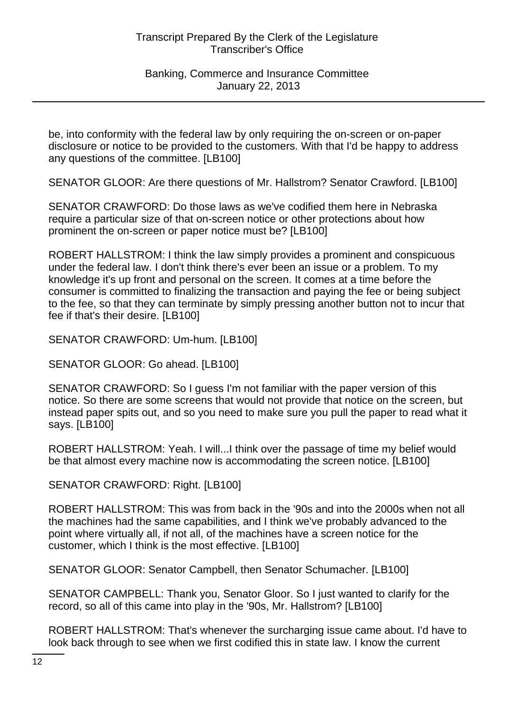be, into conformity with the federal law by only requiring the on-screen or on-paper disclosure or notice to be provided to the customers. With that I'd be happy to address any questions of the committee. [LB100]

SENATOR GLOOR: Are there questions of Mr. Hallstrom? Senator Crawford. [LB100]

SENATOR CRAWFORD: Do those laws as we've codified them here in Nebraska require a particular size of that on-screen notice or other protections about how prominent the on-screen or paper notice must be? [LB100]

ROBERT HALLSTROM: I think the law simply provides a prominent and conspicuous under the federal law. I don't think there's ever been an issue or a problem. To my knowledge it's up front and personal on the screen. It comes at a time before the consumer is committed to finalizing the transaction and paying the fee or being subject to the fee, so that they can terminate by simply pressing another button not to incur that fee if that's their desire. [LB100]

SENATOR CRAWFORD: Um-hum. [LB100]

SENATOR GLOOR: Go ahead. [LB100]

SENATOR CRAWFORD: So I guess I'm not familiar with the paper version of this notice. So there are some screens that would not provide that notice on the screen, but instead paper spits out, and so you need to make sure you pull the paper to read what it says. [LB100]

ROBERT HALLSTROM: Yeah. I will...I think over the passage of time my belief would be that almost every machine now is accommodating the screen notice. [LB100]

SENATOR CRAWFORD: Right. [LB100]

ROBERT HALLSTROM: This was from back in the '90s and into the 2000s when not all the machines had the same capabilities, and I think we've probably advanced to the point where virtually all, if not all, of the machines have a screen notice for the customer, which I think is the most effective. [LB100]

SENATOR GLOOR: Senator Campbell, then Senator Schumacher. [LB100]

SENATOR CAMPBELL: Thank you, Senator Gloor. So I just wanted to clarify for the record, so all of this came into play in the '90s, Mr. Hallstrom? [LB100]

ROBERT HALLSTROM: That's whenever the surcharging issue came about. I'd have to look back through to see when we first codified this in state law. I know the current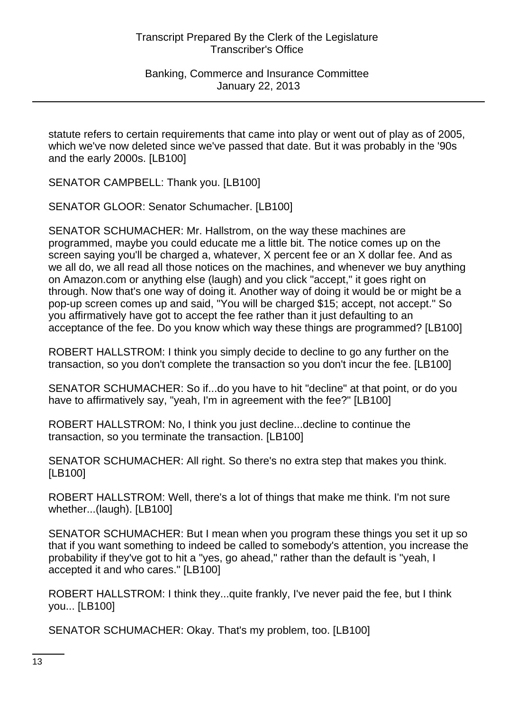statute refers to certain requirements that came into play or went out of play as of 2005, which we've now deleted since we've passed that date. But it was probably in the '90s and the early 2000s. [LB100]

SENATOR CAMPBELL: Thank you. [LB100]

SENATOR GLOOR: Senator Schumacher. [LB100]

SENATOR SCHUMACHER: Mr. Hallstrom, on the way these machines are programmed, maybe you could educate me a little bit. The notice comes up on the screen saying you'll be charged a, whatever, X percent fee or an X dollar fee. And as we all do, we all read all those notices on the machines, and whenever we buy anything on Amazon.com or anything else (laugh) and you click "accept," it goes right on through. Now that's one way of doing it. Another way of doing it would be or might be a pop-up screen comes up and said, "You will be charged \$15; accept, not accept." So you affirmatively have got to accept the fee rather than it just defaulting to an acceptance of the fee. Do you know which way these things are programmed? [LB100]

ROBERT HALLSTROM: I think you simply decide to decline to go any further on the transaction, so you don't complete the transaction so you don't incur the fee. [LB100]

SENATOR SCHUMACHER: So if...do you have to hit "decline" at that point, or do you have to affirmatively say, "yeah, I'm in agreement with the fee?" [LB100]

ROBERT HALLSTROM: No, I think you just decline...decline to continue the transaction, so you terminate the transaction. [LB100]

SENATOR SCHUMACHER: All right. So there's no extra step that makes you think. [LB100]

ROBERT HALLSTROM: Well, there's a lot of things that make me think. I'm not sure whether...(laugh). [LB100]

SENATOR SCHUMACHER: But I mean when you program these things you set it up so that if you want something to indeed be called to somebody's attention, you increase the probability if they've got to hit a "yes, go ahead," rather than the default is "yeah, I accepted it and who cares." [LB100]

ROBERT HALLSTROM: I think they...quite frankly, I've never paid the fee, but I think you... [LB100]

SENATOR SCHUMACHER: Okay. That's my problem, too. [LB100]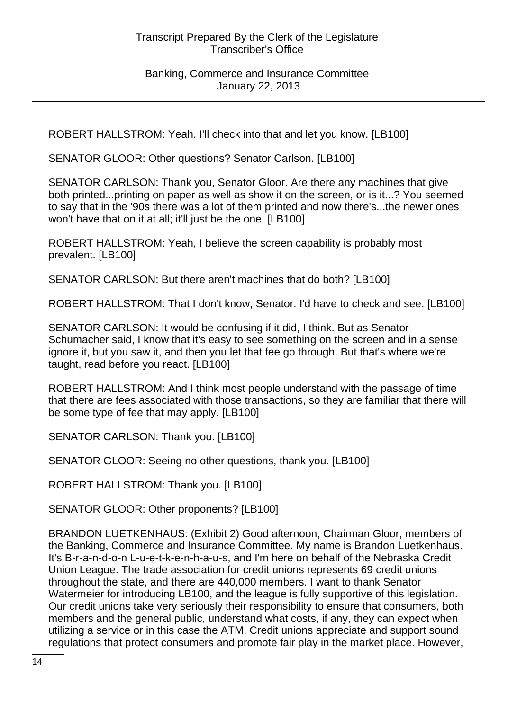#### Banking, Commerce and Insurance Committee January 22, 2013

ROBERT HALLSTROM: Yeah. I'll check into that and let you know. [LB100]

SENATOR GLOOR: Other questions? Senator Carlson. [LB100]

SENATOR CARLSON: Thank you, Senator Gloor. Are there any machines that give both printed...printing on paper as well as show it on the screen, or is it...? You seemed to say that in the '90s there was a lot of them printed and now there's...the newer ones won't have that on it at all; it'll just be the one. [LB100]

ROBERT HALLSTROM: Yeah, I believe the screen capability is probably most prevalent. [LB100]

SENATOR CARLSON: But there aren't machines that do both? [LB100]

ROBERT HALLSTROM: That I don't know, Senator. I'd have to check and see. [LB100]

SENATOR CARLSON: It would be confusing if it did, I think. But as Senator Schumacher said, I know that it's easy to see something on the screen and in a sense ignore it, but you saw it, and then you let that fee go through. But that's where we're taught, read before you react. [LB100]

ROBERT HALLSTROM: And I think most people understand with the passage of time that there are fees associated with those transactions, so they are familiar that there will be some type of fee that may apply. [LB100]

SENATOR CARLSON: Thank you. [LB100]

SENATOR GLOOR: Seeing no other questions, thank you. [LB100]

ROBERT HALLSTROM: Thank you. [LB100]

SENATOR GLOOR: Other proponents? [LB100]

BRANDON LUETKENHAUS: (Exhibit 2) Good afternoon, Chairman Gloor, members of the Banking, Commerce and Insurance Committee. My name is Brandon Luetkenhaus. It's B-r-a-n-d-o-n L-u-e-t-k-e-n-h-a-u-s, and I'm here on behalf of the Nebraska Credit Union League. The trade association for credit unions represents 69 credit unions throughout the state, and there are 440,000 members. I want to thank Senator Watermeier for introducing LB100, and the league is fully supportive of this legislation. Our credit unions take very seriously their responsibility to ensure that consumers, both members and the general public, understand what costs, if any, they can expect when utilizing a service or in this case the ATM. Credit unions appreciate and support sound regulations that protect consumers and promote fair play in the market place. However,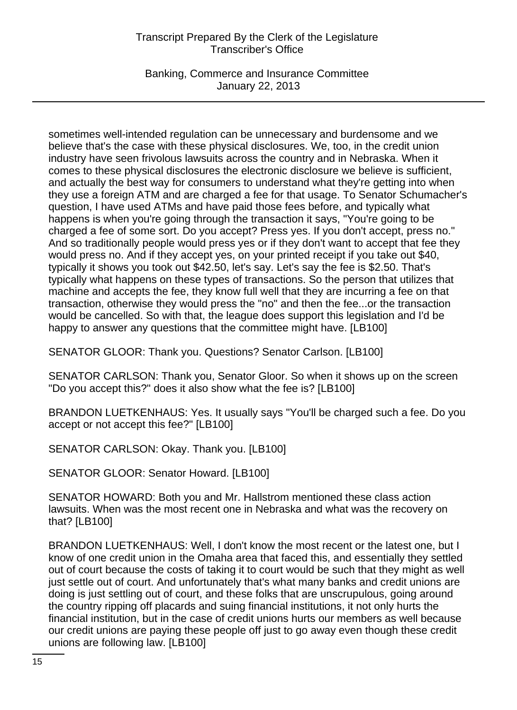Banking, Commerce and Insurance Committee January 22, 2013

sometimes well-intended regulation can be unnecessary and burdensome and we believe that's the case with these physical disclosures. We, too, in the credit union industry have seen frivolous lawsuits across the country and in Nebraska. When it comes to these physical disclosures the electronic disclosure we believe is sufficient, and actually the best way for consumers to understand what they're getting into when they use a foreign ATM and are charged a fee for that usage. To Senator Schumacher's question, I have used ATMs and have paid those fees before, and typically what happens is when you're going through the transaction it says, "You're going to be charged a fee of some sort. Do you accept? Press yes. If you don't accept, press no." And so traditionally people would press yes or if they don't want to accept that fee they would press no. And if they accept yes, on your printed receipt if you take out \$40, typically it shows you took out \$42.50, let's say. Let's say the fee is \$2.50. That's typically what happens on these types of transactions. So the person that utilizes that machine and accepts the fee, they know full well that they are incurring a fee on that transaction, otherwise they would press the "no" and then the fee...or the transaction would be cancelled. So with that, the league does support this legislation and I'd be happy to answer any questions that the committee might have. [LB100]

SENATOR GLOOR: Thank you. Questions? Senator Carlson. [LB100]

SENATOR CARLSON: Thank you, Senator Gloor. So when it shows up on the screen "Do you accept this?" does it also show what the fee is? [LB100]

BRANDON LUETKENHAUS: Yes. It usually says "You'll be charged such a fee. Do you accept or not accept this fee?" [LB100]

SENATOR CARLSON: Okay. Thank you. [LB100]

SENATOR GLOOR: Senator Howard. [LB100]

SENATOR HOWARD: Both you and Mr. Hallstrom mentioned these class action lawsuits. When was the most recent one in Nebraska and what was the recovery on that? [LB100]

BRANDON LUETKENHAUS: Well, I don't know the most recent or the latest one, but I know of one credit union in the Omaha area that faced this, and essentially they settled out of court because the costs of taking it to court would be such that they might as well just settle out of court. And unfortunately that's what many banks and credit unions are doing is just settling out of court, and these folks that are unscrupulous, going around the country ripping off placards and suing financial institutions, it not only hurts the financial institution, but in the case of credit unions hurts our members as well because our credit unions are paying these people off just to go away even though these credit unions are following law. [LB100]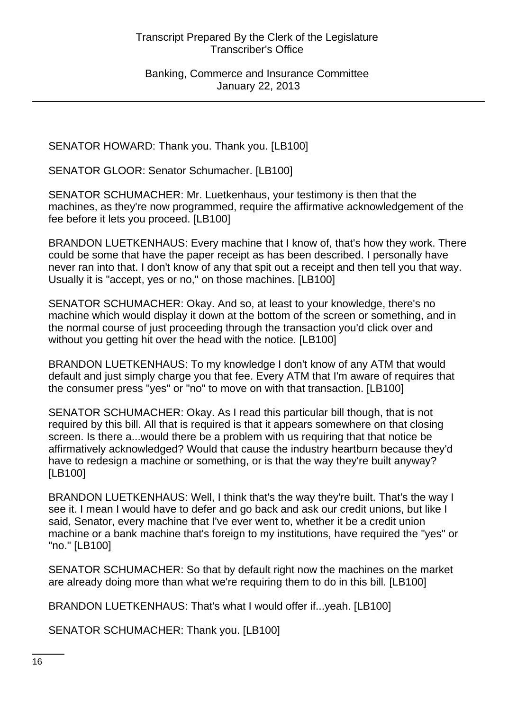SENATOR HOWARD: Thank you. Thank you. [LB100]

SENATOR GLOOR: Senator Schumacher. [LB100]

SENATOR SCHUMACHER: Mr. Luetkenhaus, your testimony is then that the machines, as they're now programmed, require the affirmative acknowledgement of the fee before it lets you proceed. [LB100]

BRANDON LUETKENHAUS: Every machine that I know of, that's how they work. There could be some that have the paper receipt as has been described. I personally have never ran into that. I don't know of any that spit out a receipt and then tell you that way. Usually it is "accept, yes or no," on those machines. [LB100]

SENATOR SCHUMACHER: Okay. And so, at least to your knowledge, there's no machine which would display it down at the bottom of the screen or something, and in the normal course of just proceeding through the transaction you'd click over and without you getting hit over the head with the notice. [LB100]

BRANDON LUETKENHAUS: To my knowledge I don't know of any ATM that would default and just simply charge you that fee. Every ATM that I'm aware of requires that the consumer press "yes" or "no" to move on with that transaction. [LB100]

SENATOR SCHUMACHER: Okay. As I read this particular bill though, that is not required by this bill. All that is required is that it appears somewhere on that closing screen. Is there a...would there be a problem with us requiring that that notice be affirmatively acknowledged? Would that cause the industry heartburn because they'd have to redesign a machine or something, or is that the way they're built anyway? [LB100]

BRANDON LUETKENHAUS: Well, I think that's the way they're built. That's the way I see it. I mean I would have to defer and go back and ask our credit unions, but like I said, Senator, every machine that I've ever went to, whether it be a credit union machine or a bank machine that's foreign to my institutions, have required the "yes" or "no." [LB100]

SENATOR SCHUMACHER: So that by default right now the machines on the market are already doing more than what we're requiring them to do in this bill. [LB100]

BRANDON LUETKENHAUS: That's what I would offer if...yeah. [LB100]

SENATOR SCHUMACHER: Thank you. [LB100]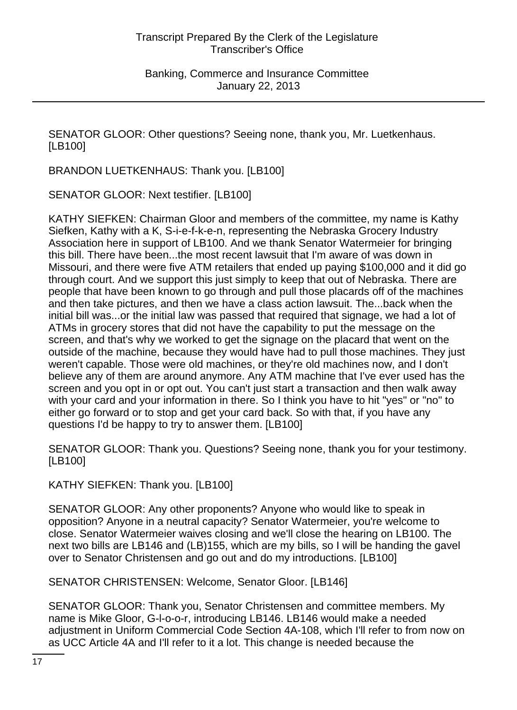SENATOR GLOOR: Other questions? Seeing none, thank you, Mr. Luetkenhaus. [LB100]

BRANDON LUETKENHAUS: Thank you. [LB100]

SENATOR GLOOR: Next testifier. [LB100]

KATHY SIEFKEN: Chairman Gloor and members of the committee, my name is Kathy Siefken, Kathy with a K, S-i-e-f-k-e-n, representing the Nebraska Grocery Industry Association here in support of LB100. And we thank Senator Watermeier for bringing this bill. There have been...the most recent lawsuit that I'm aware of was down in Missouri, and there were five ATM retailers that ended up paying \$100,000 and it did go through court. And we support this just simply to keep that out of Nebraska. There are people that have been known to go through and pull those placards off of the machines and then take pictures, and then we have a class action lawsuit. The...back when the initial bill was...or the initial law was passed that required that signage, we had a lot of ATMs in grocery stores that did not have the capability to put the message on the screen, and that's why we worked to get the signage on the placard that went on the outside of the machine, because they would have had to pull those machines. They just weren't capable. Those were old machines, or they're old machines now, and I don't believe any of them are around anymore. Any ATM machine that I've ever used has the screen and you opt in or opt out. You can't just start a transaction and then walk away with your card and your information in there. So I think you have to hit "yes" or "no" to either go forward or to stop and get your card back. So with that, if you have any questions I'd be happy to try to answer them. [LB100]

SENATOR GLOOR: Thank you. Questions? Seeing none, thank you for your testimony. [LB100]

KATHY SIEFKEN: Thank you. [LB100]

SENATOR GLOOR: Any other proponents? Anyone who would like to speak in opposition? Anyone in a neutral capacity? Senator Watermeier, you're welcome to close. Senator Watermeier waives closing and we'll close the hearing on LB100. The next two bills are LB146 and (LB)155, which are my bills, so I will be handing the gavel over to Senator Christensen and go out and do my introductions. [LB100]

SENATOR CHRISTENSEN: Welcome, Senator Gloor. [LB146]

SENATOR GLOOR: Thank you, Senator Christensen and committee members. My name is Mike Gloor, G-l-o-o-r, introducing LB146. LB146 would make a needed adjustment in Uniform Commercial Code Section 4A-108, which I'll refer to from now on as UCC Article 4A and I'll refer to it a lot. This change is needed because the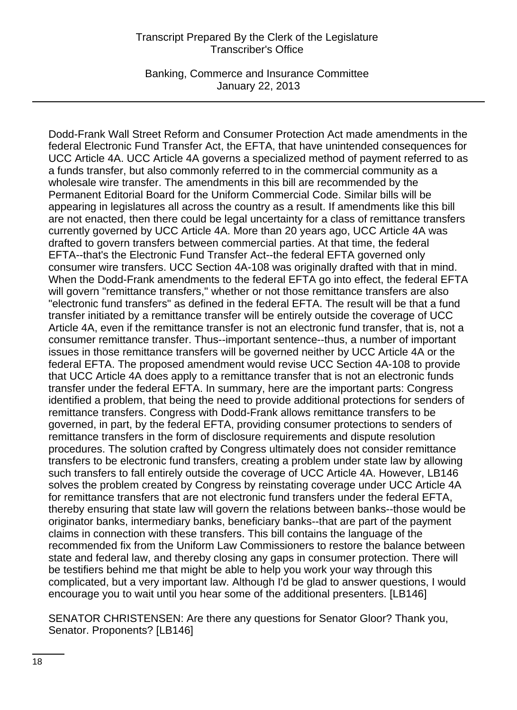Banking, Commerce and Insurance Committee January 22, 2013

Dodd-Frank Wall Street Reform and Consumer Protection Act made amendments in the federal Electronic Fund Transfer Act, the EFTA, that have unintended consequences for UCC Article 4A. UCC Article 4A governs a specialized method of payment referred to as a funds transfer, but also commonly referred to in the commercial community as a wholesale wire transfer. The amendments in this bill are recommended by the Permanent Editorial Board for the Uniform Commercial Code. Similar bills will be appearing in legislatures all across the country as a result. If amendments like this bill are not enacted, then there could be legal uncertainty for a class of remittance transfers currently governed by UCC Article 4A. More than 20 years ago, UCC Article 4A was drafted to govern transfers between commercial parties. At that time, the federal EFTA--that's the Electronic Fund Transfer Act--the federal EFTA governed only consumer wire transfers. UCC Section 4A-108 was originally drafted with that in mind. When the Dodd-Frank amendments to the federal EFTA go into effect, the federal EFTA will govern "remittance transfers," whether or not those remittance transfers are also "electronic fund transfers" as defined in the federal EFTA. The result will be that a fund transfer initiated by a remittance transfer will be entirely outside the coverage of UCC Article 4A, even if the remittance transfer is not an electronic fund transfer, that is, not a consumer remittance transfer. Thus--important sentence--thus, a number of important issues in those remittance transfers will be governed neither by UCC Article 4A or the federal EFTA. The proposed amendment would revise UCC Section 4A-108 to provide that UCC Article 4A does apply to a remittance transfer that is not an electronic funds transfer under the federal EFTA. In summary, here are the important parts: Congress identified a problem, that being the need to provide additional protections for senders of remittance transfers. Congress with Dodd-Frank allows remittance transfers to be governed, in part, by the federal EFTA, providing consumer protections to senders of remittance transfers in the form of disclosure requirements and dispute resolution procedures. The solution crafted by Congress ultimately does not consider remittance transfers to be electronic fund transfers, creating a problem under state law by allowing such transfers to fall entirely outside the coverage of UCC Article 4A. However, LB146 solves the problem created by Congress by reinstating coverage under UCC Article 4A for remittance transfers that are not electronic fund transfers under the federal EFTA, thereby ensuring that state law will govern the relations between banks--those would be originator banks, intermediary banks, beneficiary banks--that are part of the payment claims in connection with these transfers. This bill contains the language of the recommended fix from the Uniform Law Commissioners to restore the balance between state and federal law, and thereby closing any gaps in consumer protection. There will be testifiers behind me that might be able to help you work your way through this complicated, but a very important law. Although I'd be glad to answer questions, I would encourage you to wait until you hear some of the additional presenters. [LB146]

SENATOR CHRISTENSEN: Are there any questions for Senator Gloor? Thank you, Senator. Proponents? [LB146]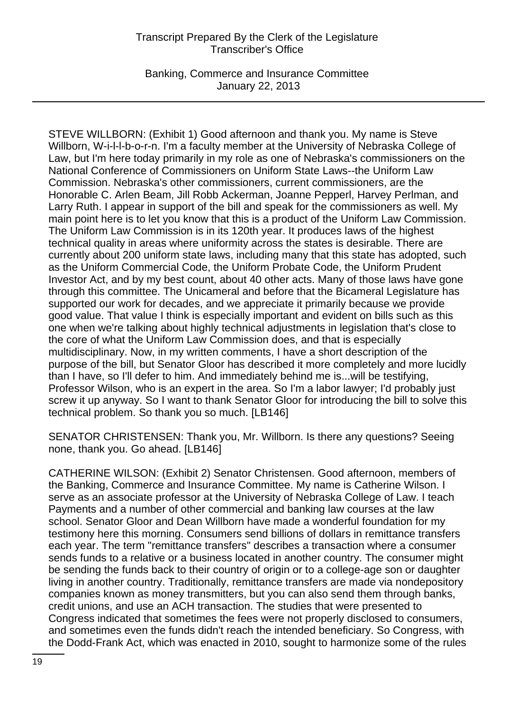Banking, Commerce and Insurance Committee January 22, 2013

STEVE WILLBORN: (Exhibit 1) Good afternoon and thank you. My name is Steve Willborn, W-i-l-l-b-o-r-n. I'm a faculty member at the University of Nebraska College of Law, but I'm here today primarily in my role as one of Nebraska's commissioners on the National Conference of Commissioners on Uniform State Laws--the Uniform Law Commission. Nebraska's other commissioners, current commissioners, are the Honorable C. Arlen Beam, Jill Robb Ackerman, Joanne Pepperl, Harvey Perlman, and Larry Ruth. I appear in support of the bill and speak for the commissioners as well. My main point here is to let you know that this is a product of the Uniform Law Commission. The Uniform Law Commission is in its 120th year. It produces laws of the highest technical quality in areas where uniformity across the states is desirable. There are currently about 200 uniform state laws, including many that this state has adopted, such as the Uniform Commercial Code, the Uniform Probate Code, the Uniform Prudent Investor Act, and by my best count, about 40 other acts. Many of those laws have gone through this committee. The Unicameral and before that the Bicameral Legislature has supported our work for decades, and we appreciate it primarily because we provide good value. That value I think is especially important and evident on bills such as this one when we're talking about highly technical adjustments in legislation that's close to the core of what the Uniform Law Commission does, and that is especially multidisciplinary. Now, in my written comments, I have a short description of the purpose of the bill, but Senator Gloor has described it more completely and more lucidly than I have, so I'll defer to him. And immediately behind me is...will be testifying, Professor Wilson, who is an expert in the area. So I'm a labor lawyer; I'd probably just screw it up anyway. So I want to thank Senator Gloor for introducing the bill to solve this technical problem. So thank you so much. [LB146]

SENATOR CHRISTENSEN: Thank you, Mr. Willborn. Is there any questions? Seeing none, thank you. Go ahead. [LB146]

CATHERINE WILSON: (Exhibit 2) Senator Christensen. Good afternoon, members of the Banking, Commerce and Insurance Committee. My name is Catherine Wilson. I serve as an associate professor at the University of Nebraska College of Law. I teach Payments and a number of other commercial and banking law courses at the law school. Senator Gloor and Dean Willborn have made a wonderful foundation for my testimony here this morning. Consumers send billions of dollars in remittance transfers each year. The term "remittance transfers" describes a transaction where a consumer sends funds to a relative or a business located in another country. The consumer might be sending the funds back to their country of origin or to a college-age son or daughter living in another country. Traditionally, remittance transfers are made via nondepository companies known as money transmitters, but you can also send them through banks, credit unions, and use an ACH transaction. The studies that were presented to Congress indicated that sometimes the fees were not properly disclosed to consumers, and sometimes even the funds didn't reach the intended beneficiary. So Congress, with the Dodd-Frank Act, which was enacted in 2010, sought to harmonize some of the rules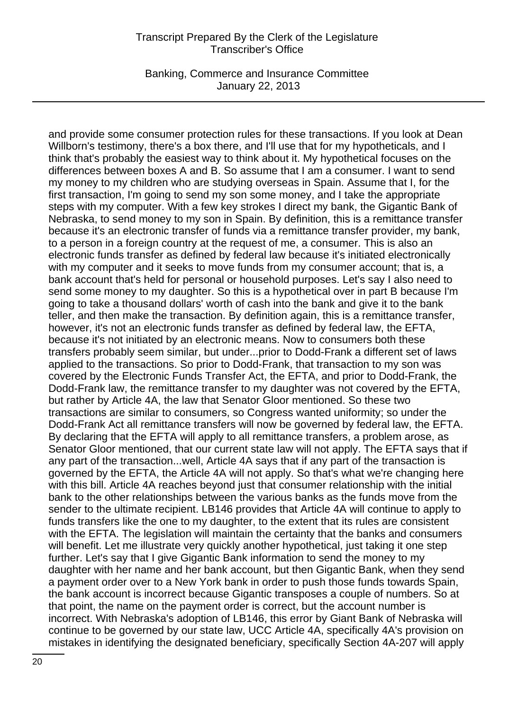Banking, Commerce and Insurance Committee January 22, 2013

and provide some consumer protection rules for these transactions. If you look at Dean Willborn's testimony, there's a box there, and I'll use that for my hypotheticals, and I think that's probably the easiest way to think about it. My hypothetical focuses on the differences between boxes A and B. So assume that I am a consumer. I want to send my money to my children who are studying overseas in Spain. Assume that I, for the first transaction, I'm going to send my son some money, and I take the appropriate steps with my computer. With a few key strokes I direct my bank, the Gigantic Bank of Nebraska, to send money to my son in Spain. By definition, this is a remittance transfer because it's an electronic transfer of funds via a remittance transfer provider, my bank, to a person in a foreign country at the request of me, a consumer. This is also an electronic funds transfer as defined by federal law because it's initiated electronically with my computer and it seeks to move funds from my consumer account; that is, a bank account that's held for personal or household purposes. Let's say I also need to send some money to my daughter. So this is a hypothetical over in part B because I'm going to take a thousand dollars' worth of cash into the bank and give it to the bank teller, and then make the transaction. By definition again, this is a remittance transfer, however, it's not an electronic funds transfer as defined by federal law, the EFTA, because it's not initiated by an electronic means. Now to consumers both these transfers probably seem similar, but under...prior to Dodd-Frank a different set of laws applied to the transactions. So prior to Dodd-Frank, that transaction to my son was covered by the Electronic Funds Transfer Act, the EFTA, and prior to Dodd-Frank, the Dodd-Frank law, the remittance transfer to my daughter was not covered by the EFTA, but rather by Article 4A, the law that Senator Gloor mentioned. So these two transactions are similar to consumers, so Congress wanted uniformity; so under the Dodd-Frank Act all remittance transfers will now be governed by federal law, the EFTA. By declaring that the EFTA will apply to all remittance transfers, a problem arose, as Senator Gloor mentioned, that our current state law will not apply. The EFTA says that if any part of the transaction...well, Article 4A says that if any part of the transaction is governed by the EFTA, the Article 4A will not apply. So that's what we're changing here with this bill. Article 4A reaches beyond just that consumer relationship with the initial bank to the other relationships between the various banks as the funds move from the sender to the ultimate recipient. LB146 provides that Article 4A will continue to apply to funds transfers like the one to my daughter, to the extent that its rules are consistent with the EFTA. The legislation will maintain the certainty that the banks and consumers will benefit. Let me illustrate very quickly another hypothetical, just taking it one step further. Let's say that I give Gigantic Bank information to send the money to my daughter with her name and her bank account, but then Gigantic Bank, when they send a payment order over to a New York bank in order to push those funds towards Spain, the bank account is incorrect because Gigantic transposes a couple of numbers. So at that point, the name on the payment order is correct, but the account number is incorrect. With Nebraska's adoption of LB146, this error by Giant Bank of Nebraska will continue to be governed by our state law, UCC Article 4A, specifically 4A's provision on mistakes in identifying the designated beneficiary, specifically Section 4A-207 will apply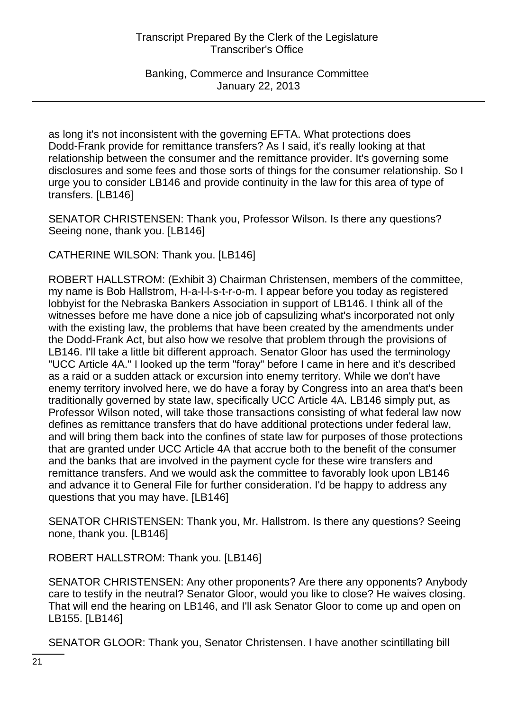Banking, Commerce and Insurance Committee January 22, 2013

as long it's not inconsistent with the governing EFTA. What protections does Dodd-Frank provide for remittance transfers? As I said, it's really looking at that relationship between the consumer and the remittance provider. It's governing some disclosures and some fees and those sorts of things for the consumer relationship. So I urge you to consider LB146 and provide continuity in the law for this area of type of transfers. [LB146]

SENATOR CHRISTENSEN: Thank you, Professor Wilson. Is there any questions? Seeing none, thank you. [LB146]

CATHERINE WILSON: Thank you. [LB146]

ROBERT HALLSTROM: (Exhibit 3) Chairman Christensen, members of the committee, my name is Bob Hallstrom, H-a-l-l-s-t-r-o-m. I appear before you today as registered lobbyist for the Nebraska Bankers Association in support of LB146. I think all of the witnesses before me have done a nice job of capsulizing what's incorporated not only with the existing law, the problems that have been created by the amendments under the Dodd-Frank Act, but also how we resolve that problem through the provisions of LB146. I'll take a little bit different approach. Senator Gloor has used the terminology "UCC Article 4A." I looked up the term "foray" before I came in here and it's described as a raid or a sudden attack or excursion into enemy territory. While we don't have enemy territory involved here, we do have a foray by Congress into an area that's been traditionally governed by state law, specifically UCC Article 4A. LB146 simply put, as Professor Wilson noted, will take those transactions consisting of what federal law now defines as remittance transfers that do have additional protections under federal law, and will bring them back into the confines of state law for purposes of those protections that are granted under UCC Article 4A that accrue both to the benefit of the consumer and the banks that are involved in the payment cycle for these wire transfers and remittance transfers. And we would ask the committee to favorably look upon LB146 and advance it to General File for further consideration. I'd be happy to address any questions that you may have. [LB146]

SENATOR CHRISTENSEN: Thank you, Mr. Hallstrom. Is there any questions? Seeing none, thank you. [LB146]

ROBERT HALLSTROM: Thank you. [LB146]

SENATOR CHRISTENSEN: Any other proponents? Are there any opponents? Anybody care to testify in the neutral? Senator Gloor, would you like to close? He waives closing. That will end the hearing on LB146, and I'll ask Senator Gloor to come up and open on LB155. [LB146]

SENATOR GLOOR: Thank you, Senator Christensen. I have another scintillating bill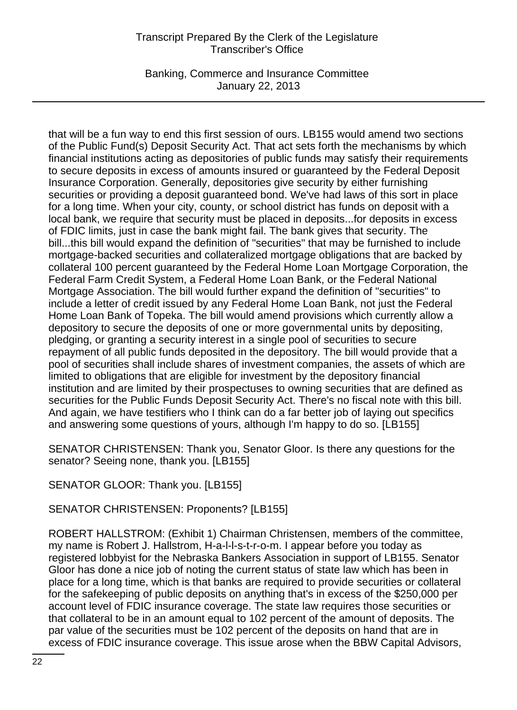Banking, Commerce and Insurance Committee January 22, 2013

that will be a fun way to end this first session of ours. LB155 would amend two sections of the Public Fund(s) Deposit Security Act. That act sets forth the mechanisms by which financial institutions acting as depositories of public funds may satisfy their requirements to secure deposits in excess of amounts insured or guaranteed by the Federal Deposit Insurance Corporation. Generally, depositories give security by either furnishing securities or providing a deposit guaranteed bond. We've had laws of this sort in place for a long time. When your city, county, or school district has funds on deposit with a local bank, we require that security must be placed in deposits...for deposits in excess of FDIC limits, just in case the bank might fail. The bank gives that security. The bill...this bill would expand the definition of "securities" that may be furnished to include mortgage-backed securities and collateralized mortgage obligations that are backed by collateral 100 percent guaranteed by the Federal Home Loan Mortgage Corporation, the Federal Farm Credit System, a Federal Home Loan Bank, or the Federal National Mortgage Association. The bill would further expand the definition of "securities" to include a letter of credit issued by any Federal Home Loan Bank, not just the Federal Home Loan Bank of Topeka. The bill would amend provisions which currently allow a depository to secure the deposits of one or more governmental units by depositing, pledging, or granting a security interest in a single pool of securities to secure repayment of all public funds deposited in the depository. The bill would provide that a pool of securities shall include shares of investment companies, the assets of which are limited to obligations that are eligible for investment by the depository financial institution and are limited by their prospectuses to owning securities that are defined as securities for the Public Funds Deposit Security Act. There's no fiscal note with this bill. And again, we have testifiers who I think can do a far better job of laying out specifics and answering some questions of yours, although I'm happy to do so. [LB155]

SENATOR CHRISTENSEN: Thank you, Senator Gloor. Is there any questions for the senator? Seeing none, thank you. [LB155]

SENATOR GLOOR: Thank you. [LB155]

SENATOR CHRISTENSEN: Proponents? [LB155]

ROBERT HALLSTROM: (Exhibit 1) Chairman Christensen, members of the committee, my name is Robert J. Hallstrom, H-a-l-l-s-t-r-o-m. I appear before you today as registered lobbyist for the Nebraska Bankers Association in support of LB155. Senator Gloor has done a nice job of noting the current status of state law which has been in place for a long time, which is that banks are required to provide securities or collateral for the safekeeping of public deposits on anything that's in excess of the \$250,000 per account level of FDIC insurance coverage. The state law requires those securities or that collateral to be in an amount equal to 102 percent of the amount of deposits. The par value of the securities must be 102 percent of the deposits on hand that are in excess of FDIC insurance coverage. This issue arose when the BBW Capital Advisors,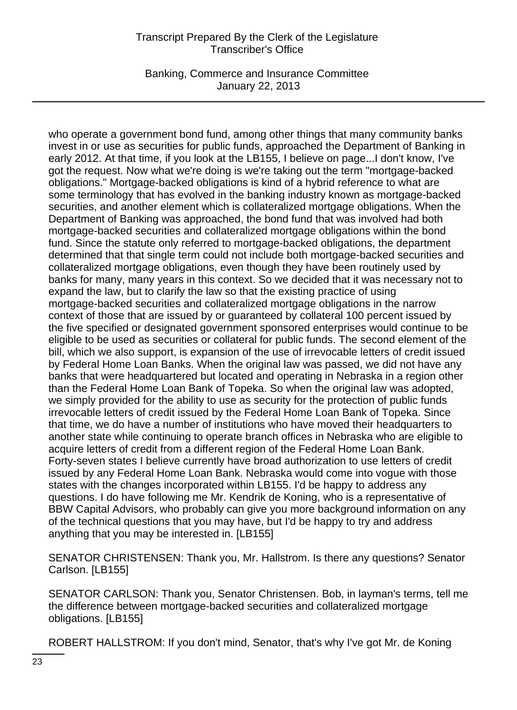Banking, Commerce and Insurance Committee January 22, 2013

who operate a government bond fund, among other things that many community banks invest in or use as securities for public funds, approached the Department of Banking in early 2012. At that time, if you look at the LB155, I believe on page...I don't know, I've got the request. Now what we're doing is we're taking out the term "mortgage-backed obligations." Mortgage-backed obligations is kind of a hybrid reference to what are some terminology that has evolved in the banking industry known as mortgage-backed securities, and another element which is collateralized mortgage obligations. When the Department of Banking was approached, the bond fund that was involved had both mortgage-backed securities and collateralized mortgage obligations within the bond fund. Since the statute only referred to mortgage-backed obligations, the department determined that that single term could not include both mortgage-backed securities and collateralized mortgage obligations, even though they have been routinely used by banks for many, many years in this context. So we decided that it was necessary not to expand the law, but to clarify the law so that the existing practice of using mortgage-backed securities and collateralized mortgage obligations in the narrow context of those that are issued by or guaranteed by collateral 100 percent issued by the five specified or designated government sponsored enterprises would continue to be eligible to be used as securities or collateral for public funds. The second element of the bill, which we also support, is expansion of the use of irrevocable letters of credit issued by Federal Home Loan Banks. When the original law was passed, we did not have any banks that were headquartered but located and operating in Nebraska in a region other than the Federal Home Loan Bank of Topeka. So when the original law was adopted, we simply provided for the ability to use as security for the protection of public funds irrevocable letters of credit issued by the Federal Home Loan Bank of Topeka. Since that time, we do have a number of institutions who have moved their headquarters to another state while continuing to operate branch offices in Nebraska who are eligible to acquire letters of credit from a different region of the Federal Home Loan Bank. Forty-seven states I believe currently have broad authorization to use letters of credit issued by any Federal Home Loan Bank. Nebraska would come into vogue with those states with the changes incorporated within LB155. I'd be happy to address any questions. I do have following me Mr. Kendrik de Koning, who is a representative of BBW Capital Advisors, who probably can give you more background information on any of the technical questions that you may have, but I'd be happy to try and address anything that you may be interested in. [LB155]

SENATOR CHRISTENSEN: Thank you, Mr. Hallstrom. Is there any questions? Senator Carlson. [LB155]

SENATOR CARLSON: Thank you, Senator Christensen. Bob, in layman's terms, tell me the difference between mortgage-backed securities and collateralized mortgage obligations. [LB155]

ROBERT HALLSTROM: If you don't mind, Senator, that's why I've got Mr. de Koning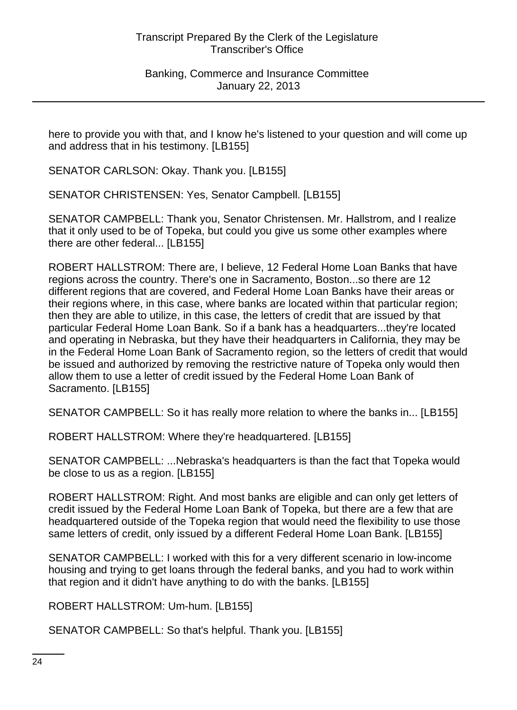here to provide you with that, and I know he's listened to your question and will come up and address that in his testimony. [LB155]

SENATOR CARLSON: Okay. Thank you. [LB155]

SENATOR CHRISTENSEN: Yes, Senator Campbell. [LB155]

SENATOR CAMPBELL: Thank you, Senator Christensen. Mr. Hallstrom, and I realize that it only used to be of Topeka, but could you give us some other examples where there are other federal... [LB155]

ROBERT HALLSTROM: There are, I believe, 12 Federal Home Loan Banks that have regions across the country. There's one in Sacramento, Boston...so there are 12 different regions that are covered, and Federal Home Loan Banks have their areas or their regions where, in this case, where banks are located within that particular region; then they are able to utilize, in this case, the letters of credit that are issued by that particular Federal Home Loan Bank. So if a bank has a headquarters...they're located and operating in Nebraska, but they have their headquarters in California, they may be in the Federal Home Loan Bank of Sacramento region, so the letters of credit that would be issued and authorized by removing the restrictive nature of Topeka only would then allow them to use a letter of credit issued by the Federal Home Loan Bank of Sacramento. [LB155]

SENATOR CAMPBELL: So it has really more relation to where the banks in... [LB155]

ROBERT HALLSTROM: Where they're headquartered. [LB155]

SENATOR CAMPBELL: ...Nebraska's headquarters is than the fact that Topeka would be close to us as a region. [LB155]

ROBERT HALLSTROM: Right. And most banks are eligible and can only get letters of credit issued by the Federal Home Loan Bank of Topeka, but there are a few that are headquartered outside of the Topeka region that would need the flexibility to use those same letters of credit, only issued by a different Federal Home Loan Bank. [LB155]

SENATOR CAMPBELL: I worked with this for a very different scenario in low-income housing and trying to get loans through the federal banks, and you had to work within that region and it didn't have anything to do with the banks. [LB155]

ROBERT HALLSTROM: Um-hum. [LB155]

SENATOR CAMPBELL: So that's helpful. Thank you. [LB155]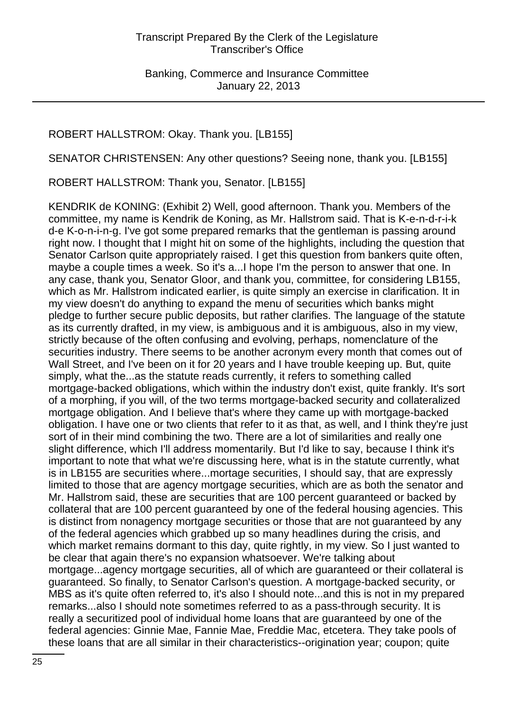# ROBERT HALLSTROM: Okay. Thank you. [LB155]

SENATOR CHRISTENSEN: Any other questions? Seeing none, thank you. [LB155]

ROBERT HALLSTROM: Thank you, Senator. [LB155]

KENDRIK de KONING: (Exhibit 2) Well, good afternoon. Thank you. Members of the committee, my name is Kendrik de Koning, as Mr. Hallstrom said. That is K-e-n-d-r-i-k d-e K-o-n-i-n-g. I've got some prepared remarks that the gentleman is passing around right now. I thought that I might hit on some of the highlights, including the question that Senator Carlson quite appropriately raised. I get this question from bankers quite often, maybe a couple times a week. So it's a...I hope I'm the person to answer that one. In any case, thank you, Senator Gloor, and thank you, committee, for considering LB155, which as Mr. Hallstrom indicated earlier, is quite simply an exercise in clarification. It in my view doesn't do anything to expand the menu of securities which banks might pledge to further secure public deposits, but rather clarifies. The language of the statute as its currently drafted, in my view, is ambiguous and it is ambiguous, also in my view, strictly because of the often confusing and evolving, perhaps, nomenclature of the securities industry. There seems to be another acronym every month that comes out of Wall Street, and I've been on it for 20 years and I have trouble keeping up. But, quite simply, what the...as the statute reads currently, it refers to something called mortgage-backed obligations, which within the industry don't exist, quite frankly. It's sort of a morphing, if you will, of the two terms mortgage-backed security and collateralized mortgage obligation. And I believe that's where they came up with mortgage-backed obligation. I have one or two clients that refer to it as that, as well, and I think they're just sort of in their mind combining the two. There are a lot of similarities and really one slight difference, which I'll address momentarily. But I'd like to say, because I think it's important to note that what we're discussing here, what is in the statute currently, what is in LB155 are securities where...mortage securities, I should say, that are expressly limited to those that are agency mortgage securities, which are as both the senator and Mr. Hallstrom said, these are securities that are 100 percent guaranteed or backed by collateral that are 100 percent guaranteed by one of the federal housing agencies. This is distinct from nonagency mortgage securities or those that are not guaranteed by any of the federal agencies which grabbed up so many headlines during the crisis, and which market remains dormant to this day, quite rightly, in my view. So I just wanted to be clear that again there's no expansion whatsoever. We're talking about mortgage...agency mortgage securities, all of which are guaranteed or their collateral is guaranteed. So finally, to Senator Carlson's question. A mortgage-backed security, or MBS as it's quite often referred to, it's also I should note...and this is not in my prepared remarks...also I should note sometimes referred to as a pass-through security. It is really a securitized pool of individual home loans that are guaranteed by one of the federal agencies: Ginnie Mae, Fannie Mae, Freddie Mac, etcetera. They take pools of these loans that are all similar in their characteristics--origination year; coupon; quite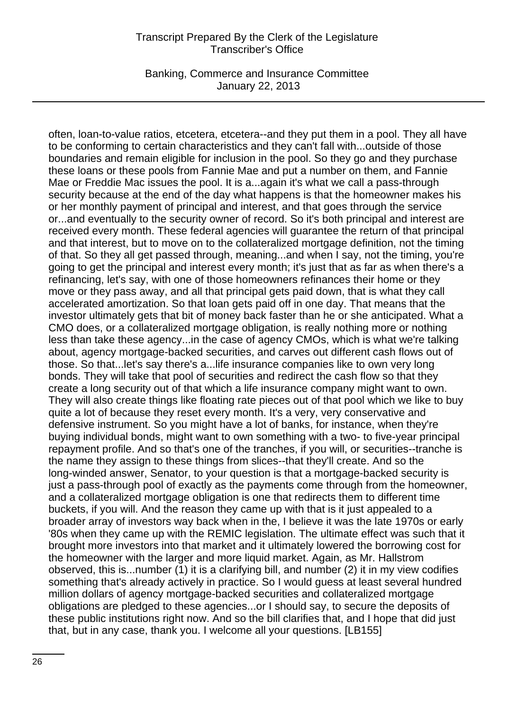Banking, Commerce and Insurance Committee January 22, 2013

often, loan-to-value ratios, etcetera, etcetera--and they put them in a pool. They all have to be conforming to certain characteristics and they can't fall with...outside of those boundaries and remain eligible for inclusion in the pool. So they go and they purchase these loans or these pools from Fannie Mae and put a number on them, and Fannie Mae or Freddie Mac issues the pool. It is a...again it's what we call a pass-through security because at the end of the day what happens is that the homeowner makes his or her monthly payment of principal and interest, and that goes through the service or...and eventually to the security owner of record. So it's both principal and interest are received every month. These federal agencies will guarantee the return of that principal and that interest, but to move on to the collateralized mortgage definition, not the timing of that. So they all get passed through, meaning...and when I say, not the timing, you're going to get the principal and interest every month; it's just that as far as when there's a refinancing, let's say, with one of those homeowners refinances their home or they move or they pass away, and all that principal gets paid down, that is what they call accelerated amortization. So that loan gets paid off in one day. That means that the investor ultimately gets that bit of money back faster than he or she anticipated. What a CMO does, or a collateralized mortgage obligation, is really nothing more or nothing less than take these agency...in the case of agency CMOs, which is what we're talking about, agency mortgage-backed securities, and carves out different cash flows out of those. So that...let's say there's a...life insurance companies like to own very long bonds. They will take that pool of securities and redirect the cash flow so that they create a long security out of that which a life insurance company might want to own. They will also create things like floating rate pieces out of that pool which we like to buy quite a lot of because they reset every month. It's a very, very conservative and defensive instrument. So you might have a lot of banks, for instance, when they're buying individual bonds, might want to own something with a two- to five-year principal repayment profile. And so that's one of the tranches, if you will, or securities--tranche is the name they assign to these things from slices--that they'll create. And so the long-winded answer, Senator, to your question is that a mortgage-backed security is just a pass-through pool of exactly as the payments come through from the homeowner, and a collateralized mortgage obligation is one that redirects them to different time buckets, if you will. And the reason they came up with that is it just appealed to a broader array of investors way back when in the, I believe it was the late 1970s or early '80s when they came up with the REMIC legislation. The ultimate effect was such that it brought more investors into that market and it ultimately lowered the borrowing cost for the homeowner with the larger and more liquid market. Again, as Mr. Hallstrom observed, this is...number (1) it is a clarifying bill, and number (2) it in my view codifies something that's already actively in practice. So I would guess at least several hundred million dollars of agency mortgage-backed securities and collateralized mortgage obligations are pledged to these agencies...or I should say, to secure the deposits of these public institutions right now. And so the bill clarifies that, and I hope that did just that, but in any case, thank you. I welcome all your questions. [LB155]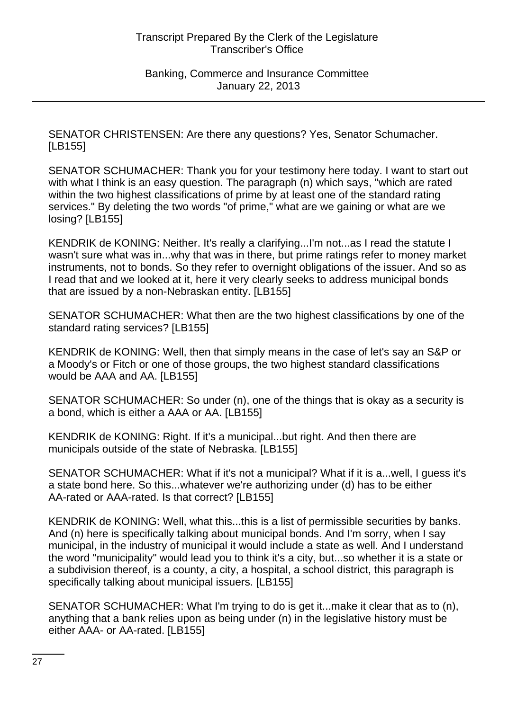SENATOR CHRISTENSEN: Are there any questions? Yes, Senator Schumacher. [LB155]

SENATOR SCHUMACHER: Thank you for your testimony here today. I want to start out with what I think is an easy question. The paragraph (n) which says, "which are rated within the two highest classifications of prime by at least one of the standard rating services." By deleting the two words "of prime," what are we gaining or what are we losing? [LB155]

KENDRIK de KONING: Neither. It's really a clarifying...I'm not...as I read the statute I wasn't sure what was in...why that was in there, but prime ratings refer to money market instruments, not to bonds. So they refer to overnight obligations of the issuer. And so as I read that and we looked at it, here it very clearly seeks to address municipal bonds that are issued by a non-Nebraskan entity. [LB155]

SENATOR SCHUMACHER: What then are the two highest classifications by one of the standard rating services? [LB155]

KENDRIK de KONING: Well, then that simply means in the case of let's say an S&P or a Moody's or Fitch or one of those groups, the two highest standard classifications would be AAA and AA. [LB155]

SENATOR SCHUMACHER: So under (n), one of the things that is okay as a security is a bond, which is either a AAA or AA. [LB155]

KENDRIK de KONING: Right. If it's a municipal...but right. And then there are municipals outside of the state of Nebraska. [LB155]

SENATOR SCHUMACHER: What if it's not a municipal? What if it is a...well, I guess it's a state bond here. So this...whatever we're authorizing under (d) has to be either AA-rated or AAA-rated. Is that correct? [LB155]

KENDRIK de KONING: Well, what this...this is a list of permissible securities by banks. And (n) here is specifically talking about municipal bonds. And I'm sorry, when I say municipal, in the industry of municipal it would include a state as well. And I understand the word "municipality" would lead you to think it's a city, but...so whether it is a state or a subdivision thereof, is a county, a city, a hospital, a school district, this paragraph is specifically talking about municipal issuers. [LB155]

SENATOR SCHUMACHER: What I'm trying to do is get it...make it clear that as to (n), anything that a bank relies upon as being under (n) in the legislative history must be either AAA- or AA-rated. [LB155]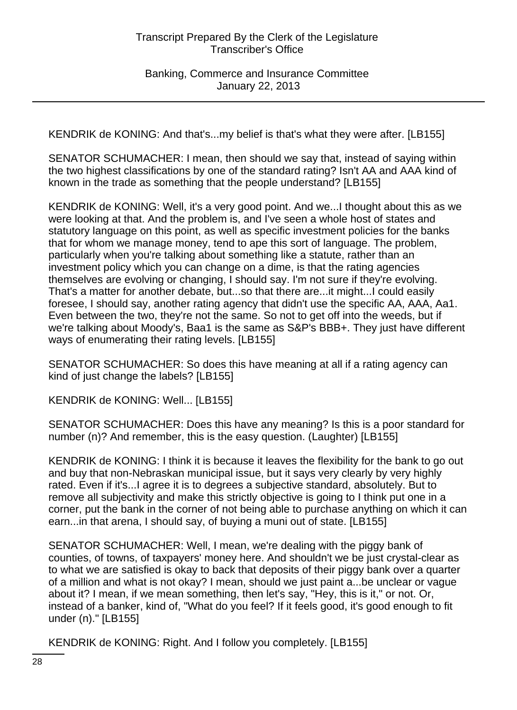KENDRIK de KONING: And that's...my belief is that's what they were after. [LB155]

SENATOR SCHUMACHER: I mean, then should we say that, instead of saying within the two highest classifications by one of the standard rating? Isn't AA and AAA kind of known in the trade as something that the people understand? [LB155]

KENDRIK de KONING: Well, it's a very good point. And we...I thought about this as we were looking at that. And the problem is, and I've seen a whole host of states and statutory language on this point, as well as specific investment policies for the banks that for whom we manage money, tend to ape this sort of language. The problem, particularly when you're talking about something like a statute, rather than an investment policy which you can change on a dime, is that the rating agencies themselves are evolving or changing, I should say. I'm not sure if they're evolving. That's a matter for another debate, but...so that there are...it might...I could easily foresee, I should say, another rating agency that didn't use the specific AA, AAA, Aa1. Even between the two, they're not the same. So not to get off into the weeds, but if we're talking about Moody's, Baa1 is the same as S&P's BBB+. They just have different ways of enumerating their rating levels. [LB155]

SENATOR SCHUMACHER: So does this have meaning at all if a rating agency can kind of just change the labels? [LB155]

KENDRIK de KONING: Well... [LB155]

SENATOR SCHUMACHER: Does this have any meaning? Is this is a poor standard for number (n)? And remember, this is the easy question. (Laughter) [LB155]

KENDRIK de KONING: I think it is because it leaves the flexibility for the bank to go out and buy that non-Nebraskan municipal issue, but it says very clearly by very highly rated. Even if it's...I agree it is to degrees a subjective standard, absolutely. But to remove all subjectivity and make this strictly objective is going to I think put one in a corner, put the bank in the corner of not being able to purchase anything on which it can earn...in that arena, I should say, of buying a muni out of state. [LB155]

SENATOR SCHUMACHER: Well, I mean, we're dealing with the piggy bank of counties, of towns, of taxpayers' money here. And shouldn't we be just crystal-clear as to what we are satisfied is okay to back that deposits of their piggy bank over a quarter of a million and what is not okay? I mean, should we just paint a...be unclear or vague about it? I mean, if we mean something, then let's say, "Hey, this is it," or not. Or, instead of a banker, kind of, "What do you feel? If it feels good, it's good enough to fit under (n)." [LB155]

KENDRIK de KONING: Right. And I follow you completely. [LB155]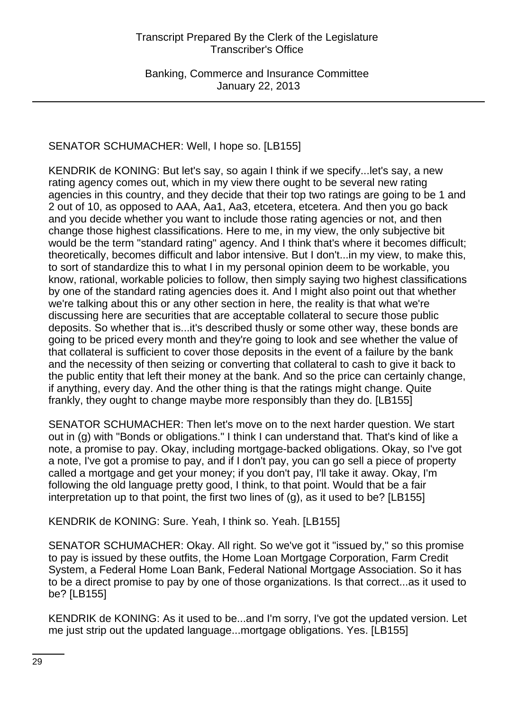# SENATOR SCHUMACHER: Well, I hope so. [LB155]

KENDRIK de KONING: But let's say, so again I think if we specify...let's say, a new rating agency comes out, which in my view there ought to be several new rating agencies in this country, and they decide that their top two ratings are going to be 1 and 2 out of 10, as opposed to AAA, Aa1, Aa3, etcetera, etcetera. And then you go back and you decide whether you want to include those rating agencies or not, and then change those highest classifications. Here to me, in my view, the only subjective bit would be the term "standard rating" agency. And I think that's where it becomes difficult; theoretically, becomes difficult and labor intensive. But I don't...in my view, to make this, to sort of standardize this to what I in my personal opinion deem to be workable, you know, rational, workable policies to follow, then simply saying two highest classifications by one of the standard rating agencies does it. And I might also point out that whether we're talking about this or any other section in here, the reality is that what we're discussing here are securities that are acceptable collateral to secure those public deposits. So whether that is...it's described thusly or some other way, these bonds are going to be priced every month and they're going to look and see whether the value of that collateral is sufficient to cover those deposits in the event of a failure by the bank and the necessity of then seizing or converting that collateral to cash to give it back to the public entity that left their money at the bank. And so the price can certainly change, if anything, every day. And the other thing is that the ratings might change. Quite frankly, they ought to change maybe more responsibly than they do. [LB155]

SENATOR SCHUMACHER: Then let's move on to the next harder question. We start out in (g) with "Bonds or obligations." I think I can understand that. That's kind of like a note, a promise to pay. Okay, including mortgage-backed obligations. Okay, so I've got a note, I've got a promise to pay, and if I don't pay, you can go sell a piece of property called a mortgage and get your money; if you don't pay, I'll take it away. Okay, I'm following the old language pretty good, I think, to that point. Would that be a fair interpretation up to that point, the first two lines of (g), as it used to be? [LB155]

KENDRIK de KONING: Sure. Yeah, I think so. Yeah. [LB155]

SENATOR SCHUMACHER: Okay. All right. So we've got it "issued by," so this promise to pay is issued by these outfits, the Home Loan Mortgage Corporation, Farm Credit System, a Federal Home Loan Bank, Federal National Mortgage Association. So it has to be a direct promise to pay by one of those organizations. Is that correct...as it used to be? [LB155]

KENDRIK de KONING: As it used to be...and I'm sorry, I've got the updated version. Let me just strip out the updated language...mortgage obligations. Yes. [LB155]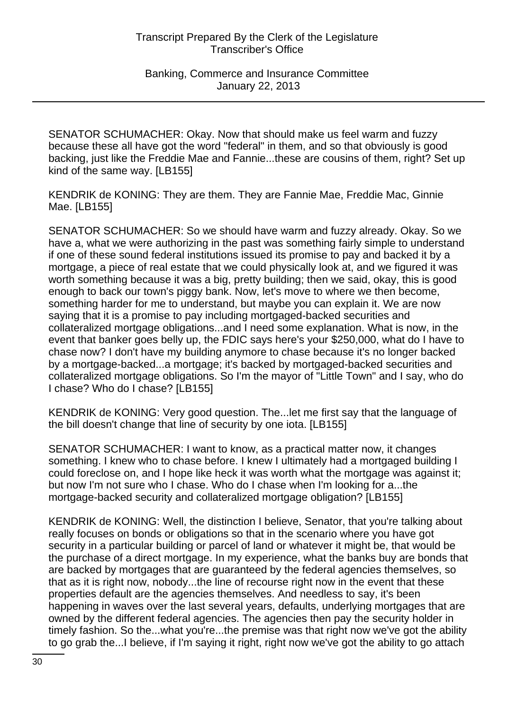SENATOR SCHUMACHER: Okay. Now that should make us feel warm and fuzzy because these all have got the word "federal" in them, and so that obviously is good backing, just like the Freddie Mae and Fannie...these are cousins of them, right? Set up kind of the same way. [LB155]

KENDRIK de KONING: They are them. They are Fannie Mae, Freddie Mac, Ginnie Mae. [LB155]

SENATOR SCHUMACHER: So we should have warm and fuzzy already. Okay. So we have a, what we were authorizing in the past was something fairly simple to understand if one of these sound federal institutions issued its promise to pay and backed it by a mortgage, a piece of real estate that we could physically look at, and we figured it was worth something because it was a big, pretty building; then we said, okay, this is good enough to back our town's piggy bank. Now, let's move to where we then become, something harder for me to understand, but maybe you can explain it. We are now saying that it is a promise to pay including mortgaged-backed securities and collateralized mortgage obligations...and I need some explanation. What is now, in the event that banker goes belly up, the FDIC says here's your \$250,000, what do I have to chase now? I don't have my building anymore to chase because it's no longer backed by a mortgage-backed...a mortgage; it's backed by mortgaged-backed securities and collateralized mortgage obligations. So I'm the mayor of "Little Town" and I say, who do I chase? Who do I chase? [LB155]

KENDRIK de KONING: Very good question. The...let me first say that the language of the bill doesn't change that line of security by one iota. [LB155]

SENATOR SCHUMACHER: I want to know, as a practical matter now, it changes something. I knew who to chase before. I knew I ultimately had a mortgaged building I could foreclose on, and I hope like heck it was worth what the mortgage was against it; but now I'm not sure who I chase. Who do I chase when I'm looking for a...the mortgage-backed security and collateralized mortgage obligation? [LB155]

KENDRIK de KONING: Well, the distinction I believe, Senator, that you're talking about really focuses on bonds or obligations so that in the scenario where you have got security in a particular building or parcel of land or whatever it might be, that would be the purchase of a direct mortgage. In my experience, what the banks buy are bonds that are backed by mortgages that are guaranteed by the federal agencies themselves, so that as it is right now, nobody...the line of recourse right now in the event that these properties default are the agencies themselves. And needless to say, it's been happening in waves over the last several years, defaults, underlying mortgages that are owned by the different federal agencies. The agencies then pay the security holder in timely fashion. So the...what you're...the premise was that right now we've got the ability to go grab the...I believe, if I'm saying it right, right now we've got the ability to go attach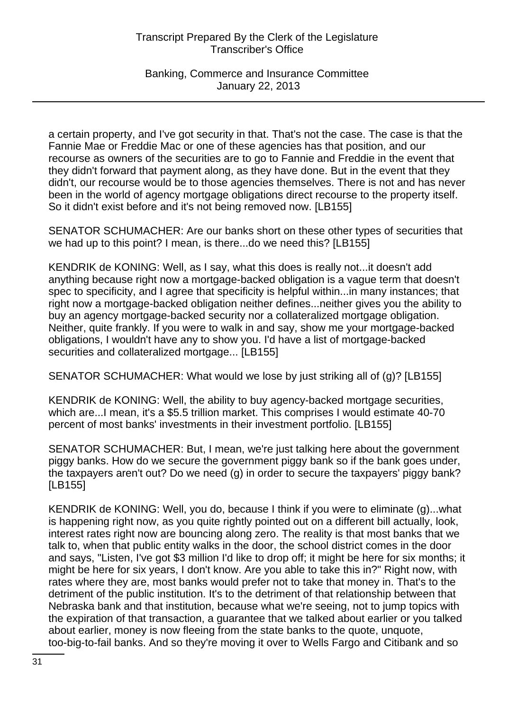Banking, Commerce and Insurance Committee January 22, 2013

a certain property, and I've got security in that. That's not the case. The case is that the Fannie Mae or Freddie Mac or one of these agencies has that position, and our recourse as owners of the securities are to go to Fannie and Freddie in the event that they didn't forward that payment along, as they have done. But in the event that they didn't, our recourse would be to those agencies themselves. There is not and has never been in the world of agency mortgage obligations direct recourse to the property itself. So it didn't exist before and it's not being removed now. [LB155]

SENATOR SCHUMACHER: Are our banks short on these other types of securities that we had up to this point? I mean, is there...do we need this? [LB155]

KENDRIK de KONING: Well, as I say, what this does is really not...it doesn't add anything because right now a mortgage-backed obligation is a vague term that doesn't spec to specificity, and I agree that specificity is helpful within...in many instances; that right now a mortgage-backed obligation neither defines...neither gives you the ability to buy an agency mortgage-backed security nor a collateralized mortgage obligation. Neither, quite frankly. If you were to walk in and say, show me your mortgage-backed obligations, I wouldn't have any to show you. I'd have a list of mortgage-backed securities and collateralized mortgage... [LB155]

SENATOR SCHUMACHER: What would we lose by just striking all of (g)? [LB155]

KENDRIK de KONING: Well, the ability to buy agency-backed mortgage securities, which are...I mean, it's a \$5.5 trillion market. This comprises I would estimate 40-70 percent of most banks' investments in their investment portfolio. [LB155]

SENATOR SCHUMACHER: But, I mean, we're just talking here about the government piggy banks. How do we secure the government piggy bank so if the bank goes under, the taxpayers aren't out? Do we need (g) in order to secure the taxpayers' piggy bank? [LB155]

KENDRIK de KONING: Well, you do, because I think if you were to eliminate (g)...what is happening right now, as you quite rightly pointed out on a different bill actually, look, interest rates right now are bouncing along zero. The reality is that most banks that we talk to, when that public entity walks in the door, the school district comes in the door and says, "Listen, I've got \$3 million I'd like to drop off; it might be here for six months; it might be here for six years, I don't know. Are you able to take this in?" Right now, with rates where they are, most banks would prefer not to take that money in. That's to the detriment of the public institution. It's to the detriment of that relationship between that Nebraska bank and that institution, because what we're seeing, not to jump topics with the expiration of that transaction, a guarantee that we talked about earlier or you talked about earlier, money is now fleeing from the state banks to the quote, unquote, too-big-to-fail banks. And so they're moving it over to Wells Fargo and Citibank and so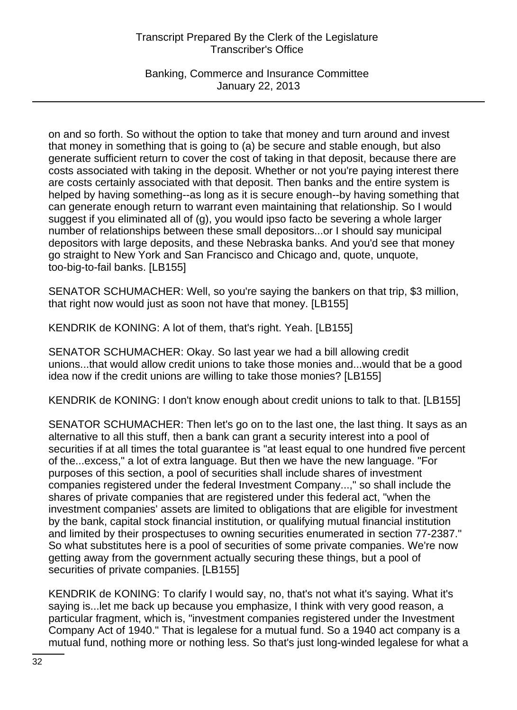Banking, Commerce and Insurance Committee January 22, 2013

on and so forth. So without the option to take that money and turn around and invest that money in something that is going to (a) be secure and stable enough, but also generate sufficient return to cover the cost of taking in that deposit, because there are costs associated with taking in the deposit. Whether or not you're paying interest there are costs certainly associated with that deposit. Then banks and the entire system is helped by having something--as long as it is secure enough--by having something that can generate enough return to warrant even maintaining that relationship. So I would suggest if you eliminated all of (g), you would ipso facto be severing a whole larger number of relationships between these small depositors...or I should say municipal depositors with large deposits, and these Nebraska banks. And you'd see that money go straight to New York and San Francisco and Chicago and, quote, unquote, too-big-to-fail banks. [LB155]

SENATOR SCHUMACHER: Well, so you're saying the bankers on that trip, \$3 million, that right now would just as soon not have that money. [LB155]

KENDRIK de KONING: A lot of them, that's right. Yeah. [LB155]

SENATOR SCHUMACHER: Okay. So last year we had a bill allowing credit unions...that would allow credit unions to take those monies and...would that be a good idea now if the credit unions are willing to take those monies? [LB155]

KENDRIK de KONING: I don't know enough about credit unions to talk to that. [LB155]

SENATOR SCHUMACHER: Then let's go on to the last one, the last thing. It says as an alternative to all this stuff, then a bank can grant a security interest into a pool of securities if at all times the total guarantee is "at least equal to one hundred five percent of the...excess," a lot of extra language. But then we have the new language. "For purposes of this section, a pool of securities shall include shares of investment companies registered under the federal Investment Company...," so shall include the shares of private companies that are registered under this federal act, "when the investment companies' assets are limited to obligations that are eligible for investment by the bank, capital stock financial institution, or qualifying mutual financial institution and limited by their prospectuses to owning securities enumerated in section 77-2387." So what substitutes here is a pool of securities of some private companies. We're now getting away from the government actually securing these things, but a pool of securities of private companies. [LB155]

KENDRIK de KONING: To clarify I would say, no, that's not what it's saying. What it's saying is...let me back up because you emphasize, I think with very good reason, a particular fragment, which is, "investment companies registered under the Investment Company Act of 1940." That is legalese for a mutual fund. So a 1940 act company is a mutual fund, nothing more or nothing less. So that's just long-winded legalese for what a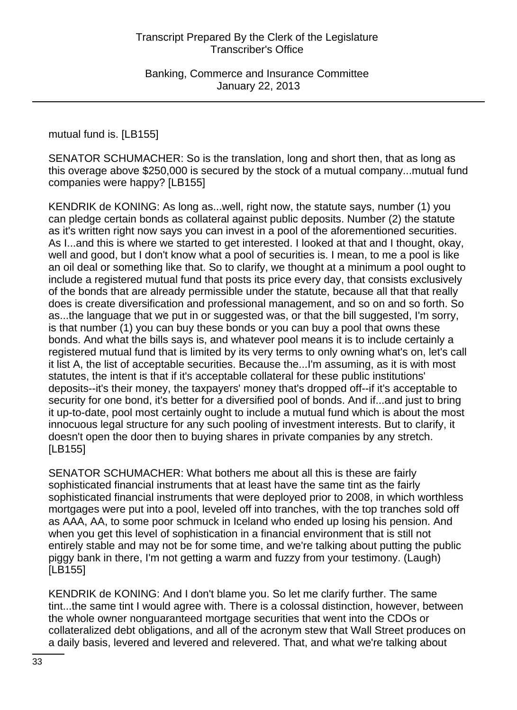mutual fund is. [LB155]

SENATOR SCHUMACHER: So is the translation, long and short then, that as long as this overage above \$250,000 is secured by the stock of a mutual company...mutual fund companies were happy? [LB155]

KENDRIK de KONING: As long as...well, right now, the statute says, number (1) you can pledge certain bonds as collateral against public deposits. Number (2) the statute as it's written right now says you can invest in a pool of the aforementioned securities. As I...and this is where we started to get interested. I looked at that and I thought, okay, well and good, but I don't know what a pool of securities is. I mean, to me a pool is like an oil deal or something like that. So to clarify, we thought at a minimum a pool ought to include a registered mutual fund that posts its price every day, that consists exclusively of the bonds that are already permissible under the statute, because all that that really does is create diversification and professional management, and so on and so forth. So as...the language that we put in or suggested was, or that the bill suggested, I'm sorry, is that number (1) you can buy these bonds or you can buy a pool that owns these bonds. And what the bills says is, and whatever pool means it is to include certainly a registered mutual fund that is limited by its very terms to only owning what's on, let's call it list A, the list of acceptable securities. Because the...I'm assuming, as it is with most statutes, the intent is that if it's acceptable collateral for these public institutions' deposits--it's their money, the taxpayers' money that's dropped off--if it's acceptable to security for one bond, it's better for a diversified pool of bonds. And if...and just to bring it up-to-date, pool most certainly ought to include a mutual fund which is about the most innocuous legal structure for any such pooling of investment interests. But to clarify, it doesn't open the door then to buying shares in private companies by any stretch. [LB155]

SENATOR SCHUMACHER: What bothers me about all this is these are fairly sophisticated financial instruments that at least have the same tint as the fairly sophisticated financial instruments that were deployed prior to 2008, in which worthless mortgages were put into a pool, leveled off into tranches, with the top tranches sold off as AAA, AA, to some poor schmuck in Iceland who ended up losing his pension. And when you get this level of sophistication in a financial environment that is still not entirely stable and may not be for some time, and we're talking about putting the public piggy bank in there, I'm not getting a warm and fuzzy from your testimony. (Laugh) [LB155]

KENDRIK de KONING: And I don't blame you. So let me clarify further. The same tint...the same tint I would agree with. There is a colossal distinction, however, between the whole owner nonguaranteed mortgage securities that went into the CDOs or collateralized debt obligations, and all of the acronym stew that Wall Street produces on a daily basis, levered and levered and relevered. That, and what we're talking about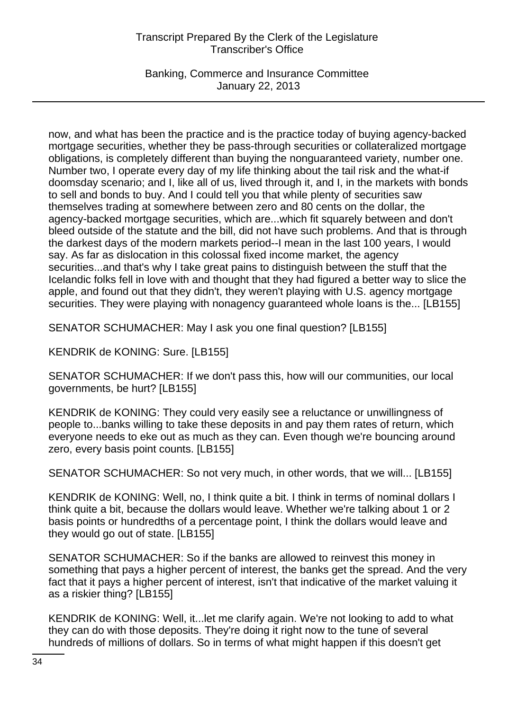Banking, Commerce and Insurance Committee January 22, 2013

now, and what has been the practice and is the practice today of buying agency-backed mortgage securities, whether they be pass-through securities or collateralized mortgage obligations, is completely different than buying the nonguaranteed variety, number one. Number two, I operate every day of my life thinking about the tail risk and the what-if doomsday scenario; and I, like all of us, lived through it, and I, in the markets with bonds to sell and bonds to buy. And I could tell you that while plenty of securities saw themselves trading at somewhere between zero and 80 cents on the dollar, the agency-backed mortgage securities, which are...which fit squarely between and don't bleed outside of the statute and the bill, did not have such problems. And that is through the darkest days of the modern markets period--I mean in the last 100 years, I would say. As far as dislocation in this colossal fixed income market, the agency securities...and that's why I take great pains to distinguish between the stuff that the Icelandic folks fell in love with and thought that they had figured a better way to slice the apple, and found out that they didn't, they weren't playing with U.S. agency mortgage securities. They were playing with nonagency guaranteed whole loans is the... [LB155]

SENATOR SCHUMACHER: May I ask you one final question? [LB155]

KENDRIK de KONING: Sure. [LB155]

SENATOR SCHUMACHER: If we don't pass this, how will our communities, our local governments, be hurt? [LB155]

KENDRIK de KONING: They could very easily see a reluctance or unwillingness of people to...banks willing to take these deposits in and pay them rates of return, which everyone needs to eke out as much as they can. Even though we're bouncing around zero, every basis point counts. [LB155]

SENATOR SCHUMACHER: So not very much, in other words, that we will... [LB155]

KENDRIK de KONING: Well, no, I think quite a bit. I think in terms of nominal dollars I think quite a bit, because the dollars would leave. Whether we're talking about 1 or 2 basis points or hundredths of a percentage point, I think the dollars would leave and they would go out of state. [LB155]

SENATOR SCHUMACHER: So if the banks are allowed to reinvest this money in something that pays a higher percent of interest, the banks get the spread. And the very fact that it pays a higher percent of interest, isn't that indicative of the market valuing it as a riskier thing? [LB155]

KENDRIK de KONING: Well, it...let me clarify again. We're not looking to add to what they can do with those deposits. They're doing it right now to the tune of several hundreds of millions of dollars. So in terms of what might happen if this doesn't get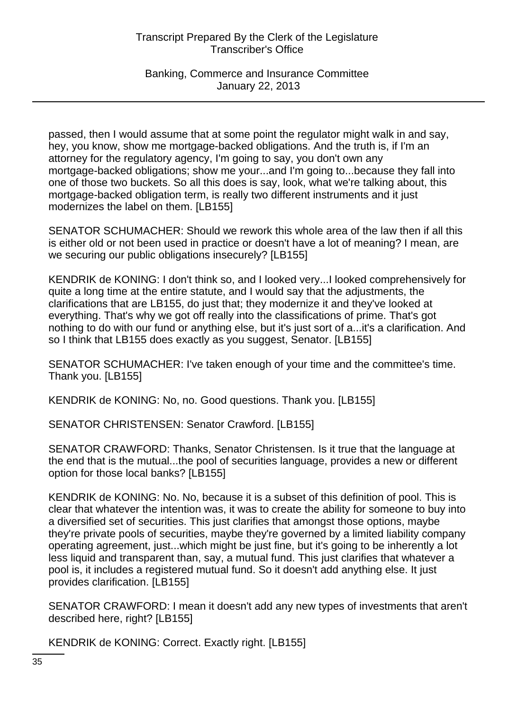Banking, Commerce and Insurance Committee January 22, 2013

passed, then I would assume that at some point the regulator might walk in and say, hey, you know, show me mortgage-backed obligations. And the truth is, if I'm an attorney for the regulatory agency, I'm going to say, you don't own any mortgage-backed obligations; show me your...and I'm going to...because they fall into one of those two buckets. So all this does is say, look, what we're talking about, this mortgage-backed obligation term, is really two different instruments and it just modernizes the label on them. [LB155]

SENATOR SCHUMACHER: Should we rework this whole area of the law then if all this is either old or not been used in practice or doesn't have a lot of meaning? I mean, are we securing our public obligations insecurely? [LB155]

KENDRIK de KONING: I don't think so, and I looked very...I looked comprehensively for quite a long time at the entire statute, and I would say that the adjustments, the clarifications that are LB155, do just that; they modernize it and they've looked at everything. That's why we got off really into the classifications of prime. That's got nothing to do with our fund or anything else, but it's just sort of a...it's a clarification. And so I think that LB155 does exactly as you suggest, Senator. [LB155]

SENATOR SCHUMACHER: I've taken enough of your time and the committee's time. Thank you. [LB155]

KENDRIK de KONING: No, no. Good questions. Thank you. [LB155]

SENATOR CHRISTENSEN: Senator Crawford. [LB155]

SENATOR CRAWFORD: Thanks, Senator Christensen. Is it true that the language at the end that is the mutual...the pool of securities language, provides a new or different option for those local banks? [LB155]

KENDRIK de KONING: No. No, because it is a subset of this definition of pool. This is clear that whatever the intention was, it was to create the ability for someone to buy into a diversified set of securities. This just clarifies that amongst those options, maybe they're private pools of securities, maybe they're governed by a limited liability company operating agreement, just...which might be just fine, but it's going to be inherently a lot less liquid and transparent than, say, a mutual fund. This just clarifies that whatever a pool is, it includes a registered mutual fund. So it doesn't add anything else. It just provides clarification. [LB155]

SENATOR CRAWFORD: I mean it doesn't add any new types of investments that aren't described here, right? [LB155]

KENDRIK de KONING: Correct. Exactly right. [LB155]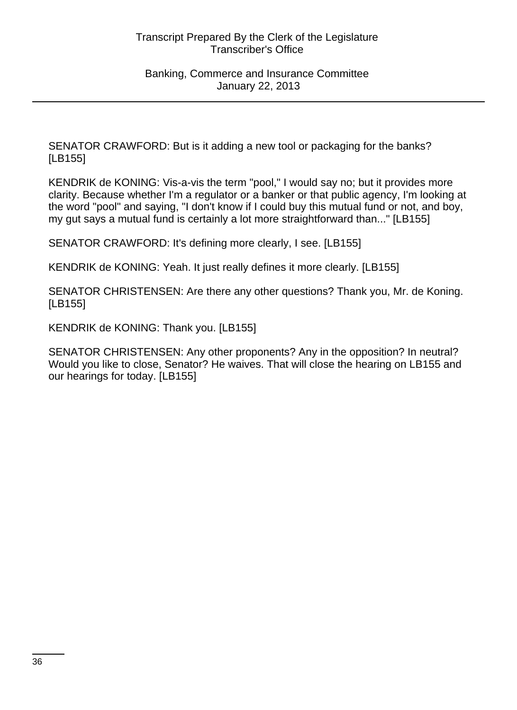SENATOR CRAWFORD: But is it adding a new tool or packaging for the banks? [LB155]

KENDRIK de KONING: Vis-a-vis the term "pool," I would say no; but it provides more clarity. Because whether I'm a regulator or a banker or that public agency, I'm looking at the word "pool" and saying, "I don't know if I could buy this mutual fund or not, and boy, my gut says a mutual fund is certainly a lot more straightforward than..." [LB155]

SENATOR CRAWFORD: It's defining more clearly, I see. [LB155]

KENDRIK de KONING: Yeah. It just really defines it more clearly. [LB155]

SENATOR CHRISTENSEN: Are there any other questions? Thank you, Mr. de Koning. [LB155]

KENDRIK de KONING: Thank you. [LB155]

SENATOR CHRISTENSEN: Any other proponents? Any in the opposition? In neutral? Would you like to close, Senator? He waives. That will close the hearing on LB155 and our hearings for today. [LB155]